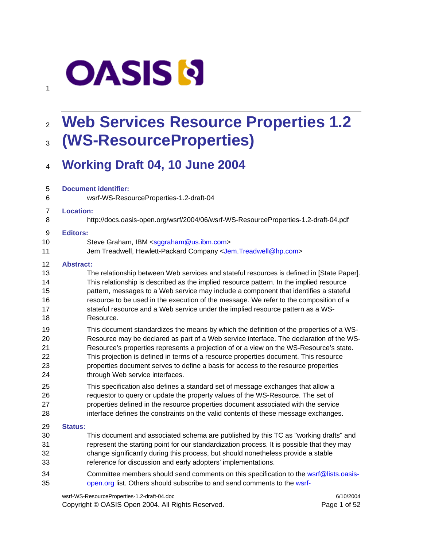# **OASIS N**

1

# <sup>2</sup>**Web Services Resource Properties 1.2** <sup>3</sup>**(WS-ResourceProperties)**

### <sup>4</sup>**Working Draft 04, 10 June 2004**

| 5              | <b>Document identifier:</b>                                                                |
|----------------|--------------------------------------------------------------------------------------------|
| 6              | wsrf-WS-ResourceProperties-1.2-draft-04                                                    |
| $\overline{7}$ | <b>Location:</b>                                                                           |
| 8              | http://docs.oasis-open.org/wsrf/2004/06/wsrf-WS-ResourceProperties-1.2-draft-04.pdf        |
| 9              | <b>Editors:</b>                                                                            |
| 10             | Steve Graham, IBM <sggraham@us.ibm.com></sggraham@us.ibm.com>                              |
| 11             | Jem Treadwell, Hewlett-Packard Company <jem. treadwell@hp.com=""></jem.>                   |
| 12             | <b>Abstract:</b>                                                                           |
| 13             | The relationship between Web services and stateful resources is defined in [State Paper].  |
| 14             | This relationship is described as the implied resource pattern. In the implied resource    |
| 15             | pattern, messages to a Web service may include a component that identifies a stateful      |
| 16             | resource to be used in the execution of the message. We refer to the composition of a      |
| 17             | stateful resource and a Web service under the implied resource pattern as a WS-            |
| 18             | Resource.                                                                                  |
| 19             | This document standardizes the means by which the definition of the properties of a WS-    |
| 20             | Resource may be declared as part of a Web service interface. The declaration of the WS-    |
| 21             | Resource's properties represents a projection of or a view on the WS-Resource's state.     |
| 22             | This projection is defined in terms of a resource properties document. This resource       |
| 23             | properties document serves to define a basis for access to the resource properties         |
| 24             | through Web service interfaces.                                                            |
| 25             | This specification also defines a standard set of message exchanges that allow a           |
| 26             | requestor to query or update the property values of the WS-Resource. The set of            |
| 27             | properties defined in the resource properties document associated with the service         |
| 28             | interface defines the constraints on the valid contents of these message exchanges.        |
| 29             | <b>Status:</b>                                                                             |
| 30             | This document and associated schema are published by this TC as "working drafts" and       |
| 31             | represent the starting point for our standardization process. It is possible that they may |
| 32             | change significantly during this process, but should nonetheless provide a stable          |
| 33             | reference for discussion and early adopters' implementations.                              |
| 34             | Committee members should send comments on this specification to the wsrf@lists.oasis-      |
| 35             | open.org list. Others should subscribe to and send comments to the wsrf-                   |

wsrf-WS-ResourceProperties-1.2-draft-04.doc 6/10/2004 Copyright © OASIS Open 2004. All Rights Reserved. Page 1 of 52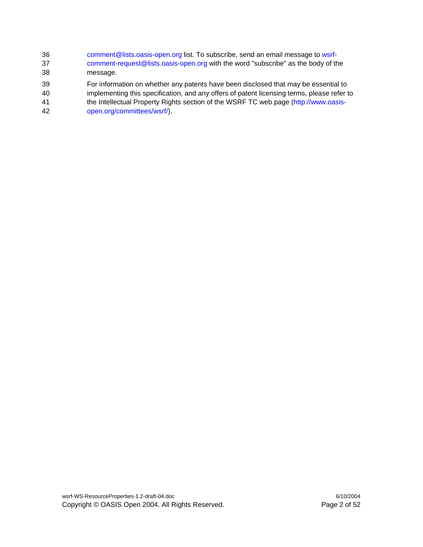- 36 comment@lists.oasis-open.org list. To subscribe, send an email message to wsrf-37 comment-request@lists.oasis-open.org with the word "subscribe" as the body of the 38 message.
- 39 For information on whether any patents have been disclosed that may be essential to
- 40 implementing this specification, and any offers of patent licensing terms, please refer to
- 41 the Intellectual Property Rights section of the WSRF TC web page (http://www.oasis-42 open.org/committees/wsrf/).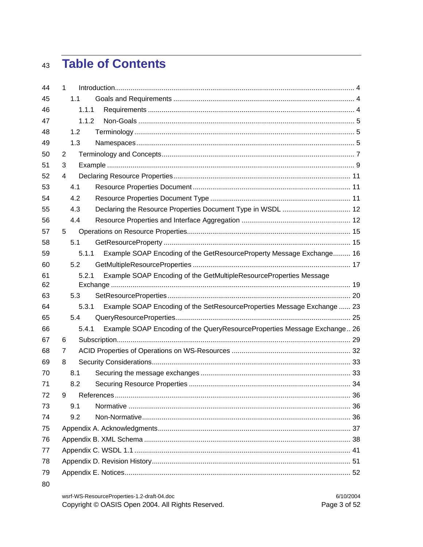# 43 Table of Contents

| 44 | 1 |       |                                                                          |  |
|----|---|-------|--------------------------------------------------------------------------|--|
| 45 |   | 1.1   |                                                                          |  |
| 46 |   | 1.1.1 |                                                                          |  |
| 47 |   | 1.1.2 |                                                                          |  |
| 48 |   | 1.2   |                                                                          |  |
| 49 |   | 1.3   |                                                                          |  |
| 50 | 2 |       |                                                                          |  |
| 51 | 3 |       |                                                                          |  |
| 52 | 4 |       |                                                                          |  |
| 53 |   | 4.1   |                                                                          |  |
| 54 |   | 4.2   |                                                                          |  |
| 55 |   | 4.3   | Declaring the Resource Properties Document Type in WSDL  12              |  |
| 56 |   | 4.4   |                                                                          |  |
| 57 | 5 |       |                                                                          |  |
| 58 |   | 5.1   |                                                                          |  |
| 59 |   | 5.1.1 | Example SOAP Encoding of the GetResourceProperty Message Exchange 16     |  |
| 60 |   | 5.2   |                                                                          |  |
| 61 |   | 5.2.1 | Example SOAP Encoding of the GetMultipleResourceProperties Message       |  |
| 62 |   |       |                                                                          |  |
| 63 |   | 5.3   |                                                                          |  |
| 64 |   | 5.3.1 | Example SOAP Encoding of the SetResourceProperties Message Exchange  23  |  |
| 65 |   | 5.4   |                                                                          |  |
| 66 |   | 5.4.1 | Example SOAP Encoding of the QueryResourceProperties Message Exchange 26 |  |
| 67 | 6 |       |                                                                          |  |
| 68 | 7 |       |                                                                          |  |
| 69 | 8 |       |                                                                          |  |
| 70 |   | 8.1   |                                                                          |  |
| 71 |   | 8.2   |                                                                          |  |
| 72 | 9 |       |                                                                          |  |
| 73 |   | 9.1   |                                                                          |  |
| 74 |   | 9.2   |                                                                          |  |
| 75 |   |       |                                                                          |  |
| 76 |   |       |                                                                          |  |
| 77 |   |       |                                                                          |  |
| 78 |   |       |                                                                          |  |
| 79 |   |       |                                                                          |  |
| 80 |   |       |                                                                          |  |

| wsrf-WS-ResourceProperties-1.2-draft-04.doc       | 6/10/2004    |
|---------------------------------------------------|--------------|
| Copyright © OASIS Open 2004. All Rights Reserved. | Page 3 of 52 |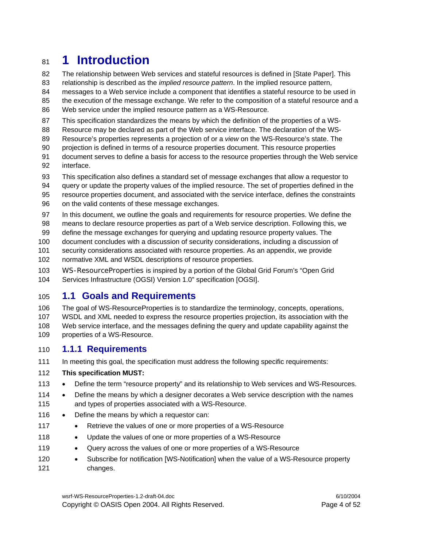### <sup>81</sup>**1 Introduction**

82 The relationship between Web services and stateful resources is defined in [State Paper]. This

83 relationship is described as the *implied resource pattern*. In the implied resource pattern,

84 messages to a Web service include a component that identifies a stateful resource to be used in

85 the execution of the message exchange. We refer to the composition of a stateful resource and a

- 86 Web service under the implied resource pattern as a WS-Resource.
- 87 This specification standardizes the means by which the definition of the properties of a WS-
- 88 Resource may be declared as part of the Web service interface. The declaration of the WS-
- 89 Resource's properties represents a projection of or a *view* on the WS-Resource's state. The
- 90 projection is defined in terms of a resource properties document. This resource properties
- 91 document serves to define a basis for access to the resource properties through the Web service 92 interface.
- 93 This specification also defines a standard set of message exchanges that allow a requestor to
- 94 query or update the property values of the implied resource. The set of properties defined in the
- 95 resource properties document, and associated with the service interface, defines the constraints
- 96 on the valid contents of these message exchanges.
- 97 In this document, we outline the goals and requirements for resource properties. We define the
- 98 means to declare resource properties as part of a Web service description. Following this, we 99 define the message exchanges for querying and updating resource property values. The
- 100 document concludes with a discussion of security considerations, including a discussion of
- 101 security considerations associated with resource properties. As an appendix, we provide
- 102 normative XML and WSDL descriptions of resource properties.
- 103 WS-ResourceProperties is inspired by a portion of the Global Grid Forum's "Open Grid 104 Services Infrastructure (OGSI) Version 1.0" specification [OGSI].

### 105 **1.1 Goals and Requirements**

106 The goal of WS-ResourceProperties is to standardize the terminology, concepts, operations, 107 WSDL and XML needed to express the resource properties projection, its association with the 108 Web service interface, and the messages defining the query and update capability against the 109 properties of a WS-Resource.

### 110 **1.1.1 Requirements**

111 In meeting this goal, the specification must address the following specific requirements:

#### 112 **This specification MUST:**

- 113 Define the term "resource property" and its relationship to Web services and WS-Resources.
- 114 Define the means by which a designer decorates a Web service description with the names 115 and types of properties associated with a WS-Resource.
- 116 Define the means by which a requestor can:
- 117 Retrieve the values of one or more properties of a WS-Resource
- 118 Update the values of one or more properties of a WS-Resource
- 119 Query across the values of one or more properties of a WS-Resource
- 120 Subscribe for notification [WS-Notification] when the value of a WS-Resource property 121 changes.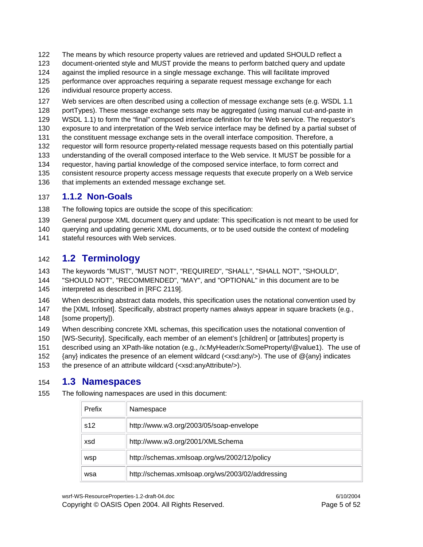- 122 The means by which resource property values are retrieved and updated SHOULD reflect a
- 123 document-oriented style and MUST provide the means to perform batched query and update
- 124 against the implied resource in a single message exchange. This will facilitate improved
- 125 performance over approaches requiring a separate request message exchange for each
- 126 individual resource property access.
- 127 Web services are often described using a collection of message exchange sets (e.g. WSDL 1.1
- 128 portTypes). These message exchange sets may be aggregated (using manual cut-and-paste in
- 129 WSDL 1.1) to form the "final" composed interface definition for the Web service. The requestor's
- 130 exposure to and interpretation of the Web service interface may be defined by a partial subset of
- 131 the constituent message exchange sets in the overall interface composition. Therefore, a
- 132 requestor will form resource property-related message requests based on this potentially partial 133 understanding of the overall composed interface to the Web service. It MUST be possible for a
- 134 requestor, having partial knowledge of the composed service interface, to form correct and
- 135 consistent resource property access message requests that execute properly on a Web service
- 136 that implements an extended message exchange set.

#### 137 **1.1.2 Non-Goals**

- 138 The following topics are outside the scope of this specification:
- 139 General purpose XML document query and update: This specification is not meant to be used for
- 140 querying and updating generic XML documents, or to be used outside the context of modeling
- 141 stateful resources with Web services.

### 142 **1.2 Terminology**

- 143 The keywords "MUST", "MUST NOT", "REQUIRED", "SHALL", "SHALL NOT", "SHOULD", 144 "SHOULD NOT", "RECOMMENDED", "MAY", and "OPTIONAL" in this document are to be
- 145 interpreted as described in [RFC 2119].
- 146 When describing abstract data models, this specification uses the notational convention used by
- 147 the [XML Infoset]. Specifically, abstract property names always appear in square brackets (e.g., 148 [some property]).
- 149 When describing concrete XML schemas, this specification uses the notational convention of
- 150 [WS-Security]. Specifically, each member of an element's [children] or [attributes] property is
- 151 described using an XPath-like notation (e.g., /x:MyHeader/x:SomeProperty/@value1). The use of
- 152 {any} indicates the presence of an element wildcard (<xsd:any/>). The use of @{any} indicates
- 153 the presence of an attribute wildcard (<xsd:anyAttribute/>).

### 154 **1.3 Namespaces**

155 The following namespaces are used in this document:

| Prefix | Namespace                                        |
|--------|--------------------------------------------------|
| s12    | http://www.w3.org/2003/05/soap-envelope          |
| xsd    | http://www.w3.org/2001/XMLSchema                 |
| wsp    | http://schemas.xmlsoap.org/ws/2002/12/policy     |
| wsa    | http://schemas.xmlsoap.org/ws/2003/02/addressing |

wsrf-WS-ResourceProperties-1.2-draft-04.doc 6/10/2004

Copyright © OASIS Open 2004. All Rights Reserved. Page 5 of 52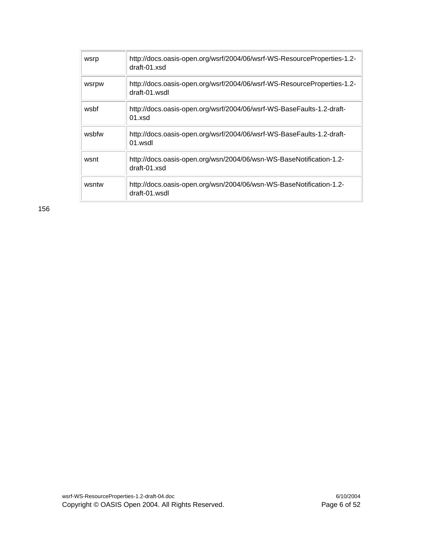| wsrp  | http://docs.oasis-open.org/wsrf/2004/06/wsrf-WS-ResourceProperties-1.2-<br>draft-01 xsd  |
|-------|------------------------------------------------------------------------------------------|
| wsrpw | http://docs.oasis-open.org/wsrf/2004/06/wsrf-WS-ResourceProperties-1.2-<br>draft-01 wsdl |
| wsbf  | http://docs.oasis-open.org/wsrf/2004/06/wsrf-WS-BaseFaults-1.2-draft-<br>$01$ xsd        |
| wsbfw | http://docs.oasis-open.org/wsrf/2004/06/wsrf-WS-BaseFaults-1.2-draft-<br>$01$ wsdl       |
| wsnt  | http://docs.oasis-open.org/wsn/2004/06/wsn-WS-BaseNotification-1.2-<br>draft-01 xsd      |
| wsntw | http://docs.oasis-open.org/wsn/2004/06/wsn-WS-BaseNotification-1.2-<br>draft-01 wsdl     |

156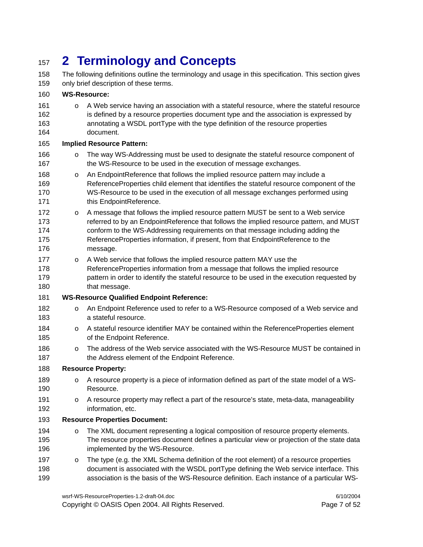# <sup>157</sup>**2 Terminology and Concepts**

158 The following definitions outline the terminology and usage in this specification. This section gives 159 only brief description of these terms.

#### 160 **WS-Resource:**

161 o A Web service having an association with a stateful resource, where the stateful resource 162 is defined by a resource properties document type and the association is expressed by 163 annotating a WSDL portType with the type definition of the resource properties 164 document.

#### 165 **Implied Resource Pattern:**

- 166 <sup>o</sup> The way WS-Addressing must be used to designate the stateful resource component of 167 the WS-Resource to be used in the execution of message exchanges.
- 168 o An EndpointReference that follows the implied resource pattern may include a 169 ReferenceProperties child element that identifies the stateful resource component of the 170 WS-Resource to be used in the execution of all message exchanges performed using 171 this EndpointReference.
- 172 o A message that follows the implied resource pattern MUST be sent to a Web service 173 referred to by an EndpointReference that follows the implied resource pattern, and MUST 174 conform to the WS-Addressing requirements on that message including adding the 175 ReferenceProperties information, if present, from that EndpointReference to the 176 message.
- 177 o A Web service that follows the implied resource pattern MAY use the 178 ReferenceProperties information from a message that follows the implied resource 179 pattern in order to identify the stateful resource to be used in the execution requested by 180 that message.
- 181 **WS-Resource Qualified Endpoint Reference:**
- 182 o An Endpoint Reference used to refer to a WS-Resource composed of a Web service and 183 a stateful resource.
- 184 o A stateful resource identifier MAY be contained within the ReferenceProperties element 185 of the Endpoint Reference.
- 186 <sup>o</sup> The address of the Web service associated with the WS-Resource MUST be contained in 187 the Address element of the Endpoint Reference.

#### 188 **Resource Property:**

- 189 o A resource property is a piece of information defined as part of the state model of a WS-190 Resource.
- 191 o A resource property may reflect a part of the resource's state, meta-data, manageability 192 information, etc.

#### 193 **Resource Properties Document:**

- 194 o The XML document representing a logical composition of resource property elements. 195 The resource properties document defines a particular view or projection of the state data 196 implemented by the WS-Resource.
- 197 o The type (e.g. the XML Schema definition of the root element) of a resource properties 198 document is associated with the WSDL portType defining the Web service interface. This 199 association is the basis of the WS-Resource definition. Each instance of a particular WS-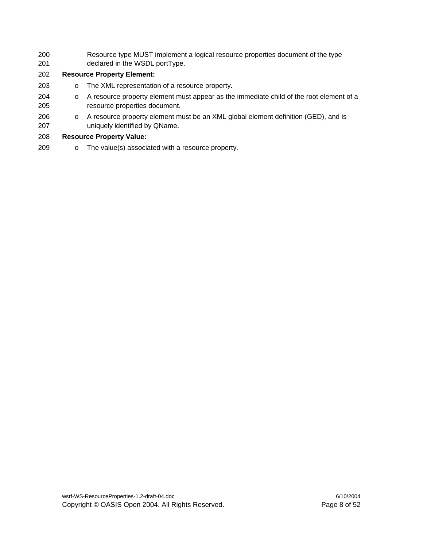200 Resource type MUST implement a logical resource properties document of the type 201 declared in the WSDL portType.

#### 202 **Resource Property Element:**

- 203 o The XML representation of a resource property.
- 204 o A resource property element must appear as the immediate child of the root element of a 205 resource properties document.
- 206 o A resource property element must be an XML global element definition (GED), and is 207 uniquely identified by QName.

#### 208 **Resource Property Value:**

209 o The value(s) associated with a resource property.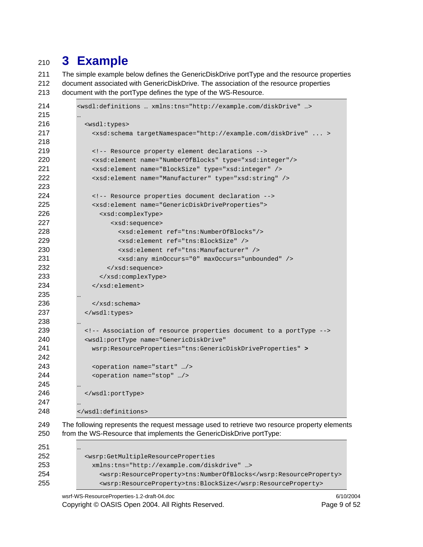# **3 Example**

211 The simple example below defines the GenericDiskDrive portType and the resource properties 212 document associated with GenericDiskDrive. The association of the resource properties 213 document with the portType defines the type of the WS-Resource.

```
214 <wsdl:definitions … xmlns:tns="http://example.com/diskDrive" …> 
215 … 
216 <wsdl:types> 
217 <xsd:schema targetNamespace="http://example.com/diskDrive" ... > 
218 
219 <!-- Resource property element declarations --> 
220 <xsd:element name="NumberOfBlocks" type="xsd:integer"/> 
221 <xsd:element name="BlockSize" type="xsd:integer" /> 
222 <xsd:element name="Manufacturer" type="xsd:string" /> 
223 
224 <!-- Resource properties document declaration --> 
225 <xsd:element name="GenericDiskDriveProperties"> 
226 <xsd:complexType> 
227 <xsd:sequence> 
228 <xsd:element ref="tns:NumberOfBlocks"/> 
229 <xsd:element ref="tns:BlockSize" /> 
230 <xsd:element ref="tns:Manufacturer" /> 
231 <xsd:any minOccurs="0" maxOccurs="unbounded" /> 
232 </xsd:sequence>
233 </xsd:complexType>
234 </xsd:element>
235 … 
236 </xsd:schema>
237 </wsdl:types> 
238 … 
239 <!-- Association of resource properties document to a portType --> 
240 <wsdl:portType name="GenericDiskDrive" 
241 wsrp:ResourceProperties="tns:GenericDiskDriveProperties" > 
242 
243 <operation name="start" …/> 
244 <operation name="stop" …/> 
245 … 
246 </wsdl:portType> 
247 … 
248 </wsdl:definitions> 
249 The following represents the request message used to retrieve two resource property elements 
250 from the WS-Resource that implements the GenericDiskDrive portType: 
251 … 
252 <wsrp:GetMultipleResourceProperties 
253 xmlns:tns="http://example.com/diskdrive" …> 
254 <wsrp:ResourceProperty>tns:NumberOfBlocks</wsrp:ResourceProperty> 
255 <wsrp:ResourceProperty>tns:BlockSize</wsrp:ResourceProperty>
```
wsrf-WS-ResourceProperties-1.2-draft-04.doc 6/10/2004 Copyright © OASIS Open 2004. All Rights Reserved. **Page 9 of 52** Page 9 of 52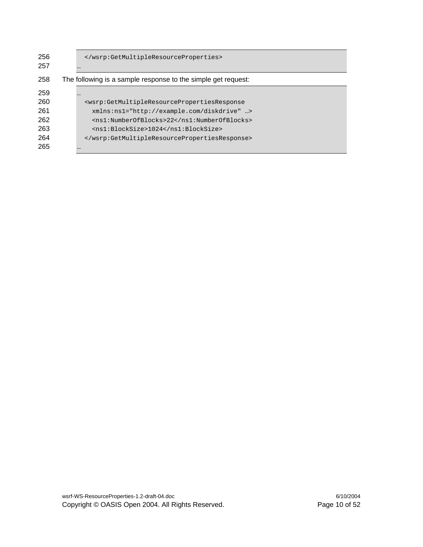| 256 |                                                                                                   |
|-----|---------------------------------------------------------------------------------------------------|
| 257 |                                                                                                   |
| 258 | The following is a sample response to the simple get request:                                     |
| 259 | $\cdots$                                                                                          |
| 260 | <wsrp:getmultipleresourcepropertiesresponse< th=""></wsrp:getmultipleresourcepropertiesresponse<> |
| 261 | xmlns:ns1="http://example.com/diskdrive" >                                                        |
| 262 | <ns1:numberofblocks>22</ns1:numberofblocks>                                                       |
| 263 | <ns1:blocksize>1024</ns1:blocksize>                                                               |
| 264 |                                                                                                   |
| 265 |                                                                                                   |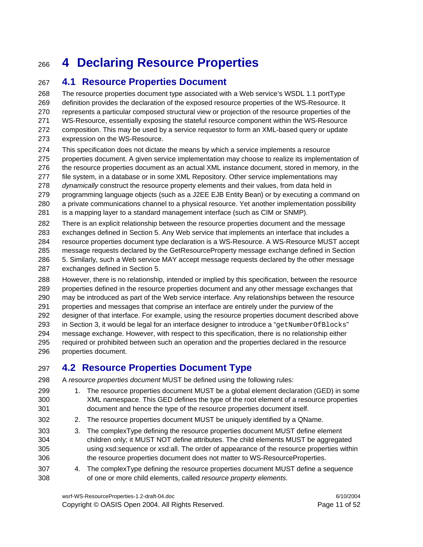# <sup>266</sup>**4 Declaring Resource Properties**

### 267 **4.1 Resource Properties Document**

268 The resource properties document type associated with a Web service's WSDL 1.1 portType 269 definition provides the declaration of the exposed resource properties of the WS-Resource. It 270 represents a particular composed structural view or projection of the resource properties of the 271 WS-Resource, essentially exposing the stateful resource component within the WS-Resource 272 composition. This may be used by a service requestor to form an XML-based query or update 273 expression on the WS-Resource.

- 274 This specification does not dictate the means by which a service implements a resource 275 properties document. A given service implementation may choose to realize its implementation of 276 the resource properties document as an actual XML instance document, stored in memory, in the 277 file system, in a database or in some XML Repository. Other service implementations may 278 *dynamically* construct the resource property elements and their values, from data held in 279 programming language objects (such as a J2EE EJB Entity Bean) or by executing a command on
- 280 a private communications channel to a physical resource. Yet another implementation possibility
- 281 is a mapping layer to a standard management interface (such as CIM or SNMP).
- 282 There is an explicit relationship between the resource properties document and the message 283 exchanges defined in Section 5. Any Web service that implements an interface that includes a
- 284 resource properties document type declaration is a WS-Resource. A WS-Resource MUST accept
- 285 message requests declared by the GetResourceProperty message exchange defined in Section
- 286 5. Similarly, such a Web service MAY accept message requests declared by the other message 287 exchanges defined in Section 5.

288 However, there is no relationship, intended or implied by this specification, between the resource 289 properties defined in the resource properties document and any other message exchanges that 290 may be introduced as part of the Web service interface. Any relationships between the resource 291 properties and messages that comprise an interface are entirely under the purview of the 292 designer of that interface. For example, using the resource properties document described above 293 in Section 3, it would be legal for an interface designer to introduce a "getNumberOfBlocks" 294 message exchange. However, with respect to this specification, there is no relationship either 295 required or prohibited between such an operation and the properties declared in the resource 296 properties document.

### 297 **4.2 Resource Properties Document Type**

- 298 A *resource properties document* MUST be defined using the following rules:
- 299 1. The resource properties document MUST be a global element declaration (GED) in some 300 XML namespace. This GED defines the type of the root element of a resource properties 301 document and hence the type of the resource properties document itself.
- 302 2. The resource properties document MUST be uniquely identified by a QName.
- 303 3. The complexType defining the resource properties document MUST define element 304 children only; it MUST NOT define attributes. The child elements MUST be aggregated 305 using xsd:sequence or xsd:all. The order of appearance of the resource properties within 306 the resource properties document does not matter to WS-ResourceProperties.
- 307 4. The complexType defining the resource properties document MUST define a sequence 308 of one or more child elements, called *resource property elements*.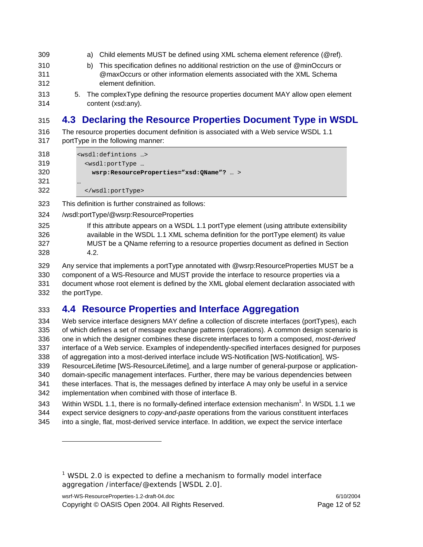- 309 a) Child elements MUST be defined using XML schema element reference (@ref).
- 310 b) This specification defines no additional restriction on the use of @minOccurs or 311 @maxOccurs or other information elements associated with the XML Schema 312 element definition.
- 

l

313 5. The complexType defining the resource properties document MAY allow open element 314 content (xsd:any).

### 315 **4.3 Declaring the Resource Properties Document Type in WSDL**

316 The resource properties document definition is associated with a Web service WSDL 1.1 317 portType in the following manner:

| 318 | <wsdl:defintions></wsdl:defintions>         |
|-----|---------------------------------------------|
| 319 | <wsdl:porttype th="" …<=""></wsdl:porttype> |
| 320 | wsrp:ResourceProperties="xsd:QName"?  >     |
| 321 | $\cdots$                                    |
| 322 |                                             |

323 This definition is further constrained as follows:

- 324 /wsdl:portType/@wsrp:ResourceProperties
- 325 If this attribute appears on a WSDL 1.1 portType element (using attribute extensibility 326 available in the WSDL 1.1 XML schema definition for the portType element) its value 327 MUST be a QName referring to a resource properties document as defined in Section 328 4.2.
- 329 Any service that implements a portType annotated with @wsrp:ResourceProperties MUST be a 330 component of a WS-Resource and MUST provide the interface to resource properties via a 331 document whose root element is defined by the XML global element declaration associated with 332 the portType.

### 333 **4.4 Resource Properties and Interface Aggregation**

334 Web service interface designers MAY define a collection of discrete interfaces (portTypes), each 335 of which defines a set of message exchange patterns (operations). A common design scenario is 336 one in which the designer combines these discrete interfaces to form a composed, *most-derived* 337 interface of a Web service. Examples of independently-specified interfaces designed for purposes 338 of aggregation into a most-derived interface include WS-Notification [WS-Notification], WS-339 ResourceLifetime [WS-ResourceLifetime], and a large number of general-purpose or application-340 domain-specific management interfaces. Further, there may be various dependencies between 341 these interfaces. That is, the messages defined by interface A may only be useful in a service 342 implementation when combined with those of interface B. 343 Within WSDL 1.1, there is no formally-defined interface extension mechanism<sup>1</sup>. In WSDL 1.1 we

- 344 expect service designers to *copy-and-paste* operations from the various constituent interfaces
- 345 into a single, flat, most-derived service interface. In addition, we expect the service interface

<sup>&</sup>lt;sup>1</sup> WSDL 2.0 is expected to define a mechanism to formally model interface aggregation /interface/@extends [WSDL 2.0].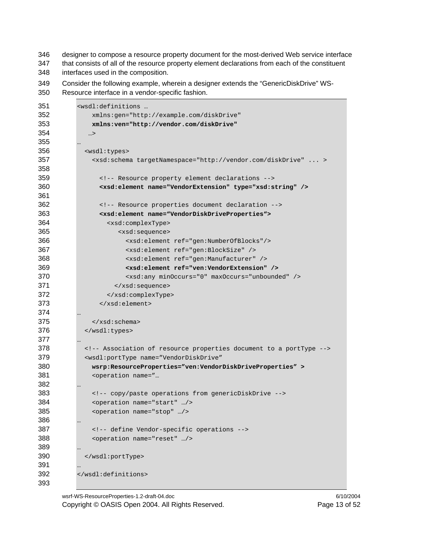346 designer to compose a resource property document for the most-derived Web service interface

347 that consists of all of the resource property element declarations from each of the constituent 348 interfaces used in the composition.

349 Consider the following example, wherein a designer extends the "GenericDiskDrive" WS-350 Resource interface in a vendor-specific fashion.

| 351 | «wsdl:definitions                                                                                                                                                                                                                                                                                                            |
|-----|------------------------------------------------------------------------------------------------------------------------------------------------------------------------------------------------------------------------------------------------------------------------------------------------------------------------------|
| 352 | xmlns:gen="http://example.com/diskDrive"                                                                                                                                                                                                                                                                                     |
| 353 | xmlns:ven="http://vendor.com/diskDrive"                                                                                                                                                                                                                                                                                      |
| 354 | >                                                                                                                                                                                                                                                                                                                            |
| 355 |                                                                                                                                                                                                                                                                                                                              |
| 356 | <wsdl:types></wsdl:types>                                                                                                                                                                                                                                                                                                    |
| 357 | <xsd:schema targetnamespace="http://vendor.com/diskDrive"></xsd:schema>                                                                                                                                                                                                                                                      |
| 358 |                                                                                                                                                                                                                                                                                                                              |
| 359 | Resource property element declarations                                                                                                                                                                                                                                                                                       |
| 360 | <xsd:element name="VendorExtension" type="xsd:string"></xsd:element>                                                                                                                                                                                                                                                         |
| 361 |                                                                                                                                                                                                                                                                                                                              |
| 362 | Resource properties document declaration                                                                                                                                                                                                                                                                                     |
| 363 | <xsd:element name="VendorDiskDriveProperties"></xsd:element>                                                                                                                                                                                                                                                                 |
| 364 | <xsd:complextype></xsd:complextype>                                                                                                                                                                                                                                                                                          |
| 365 | <xsd:sequence></xsd:sequence>                                                                                                                                                                                                                                                                                                |
| 366 | <xsd:element ref="gen:NumberOfBlocks"></xsd:element>                                                                                                                                                                                                                                                                         |
| 367 | <xsd:element ref="gen:BlockSize"></xsd:element>                                                                                                                                                                                                                                                                              |
| 368 | <xsd:element ref="gen:Manufacturer"></xsd:element>                                                                                                                                                                                                                                                                           |
| 369 | <xsd:element ref="ven:VendorExtension"></xsd:element>                                                                                                                                                                                                                                                                        |
| 370 | <xsd:any maxoccurs="unbounded" minoccurs="0"></xsd:any>                                                                                                                                                                                                                                                                      |
| 371 |                                                                                                                                                                                                                                                                                                                              |
| 372 |                                                                                                                                                                                                                                                                                                                              |
| 373 |                                                                                                                                                                                                                                                                                                                              |
| 374 |                                                                                                                                                                                                                                                                                                                              |
| 375 | $\langle xsd:$ schema>                                                                                                                                                                                                                                                                                                       |
| 376 |                                                                                                                                                                                                                                                                                                                              |
| 377 |                                                                                                                                                                                                                                                                                                                              |
| 378 | Association of resource properties document to a portType                                                                                                                                                                                                                                                                    |
| 379 | <wsdl:porttype <="" name="VendorDiskDrive" td=""></wsdl:porttype>                                                                                                                                                                                                                                                            |
| 380 | wsrp:ResourceProperties="ven:VendorDiskDriveProperties" >                                                                                                                                                                                                                                                                    |
| 381 | <operation name="&lt;/td&gt;&lt;/tr&gt;&lt;tr&gt;&lt;td&gt;382&lt;/td&gt;&lt;td&gt;&lt;/td&gt;&lt;/tr&gt;&lt;tr&gt;&lt;td&gt;383&lt;/td&gt;&lt;td&gt;&lt;!-- copy/paste operations from genericDiskDrive --&gt;&lt;/td&gt;&lt;/tr&gt;&lt;tr&gt;&lt;td&gt;384&lt;/td&gt;&lt;td&gt;&lt;operation name=" start"=""></operation> |
| 385 | <operation name="stop"></operation>                                                                                                                                                                                                                                                                                          |
| 386 |                                                                                                                                                                                                                                                                                                                              |
| 387 | define Vendor-specific operations                                                                                                                                                                                                                                                                                            |
| 388 | <operation name="reset"></operation>                                                                                                                                                                                                                                                                                         |
| 389 |                                                                                                                                                                                                                                                                                                                              |
| 390 |                                                                                                                                                                                                                                                                                                                              |
| 391 |                                                                                                                                                                                                                                                                                                                              |
| 392 |                                                                                                                                                                                                                                                                                                                              |
| 393 |                                                                                                                                                                                                                                                                                                                              |

wsrf-WS-ResourceProperties-1.2-draft-04.doc 6/10/2004 Copyright © OASIS Open 2004. All Rights Reserved. Page 13 of 52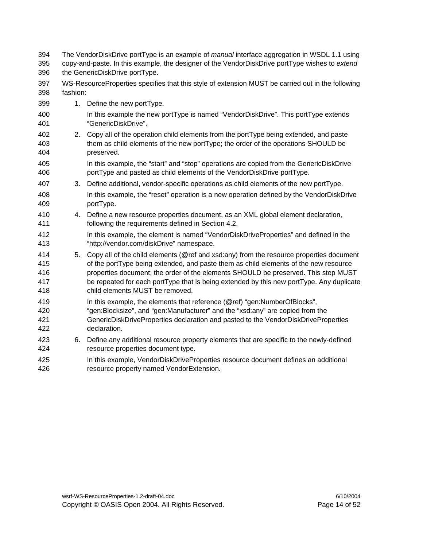| 394<br>395<br>396               | The VendorDiskDrive portType is an example of <i>manual</i> interface aggregation in WSDL 1.1 using<br>copy-and-paste. In this example, the designer of the VendorDiskDrive portType wishes to extend<br>the GenericDiskDrive portType. |                                                                                                                                                                                                                                                                                                                                                                                                      |
|---------------------------------|-----------------------------------------------------------------------------------------------------------------------------------------------------------------------------------------------------------------------------------------|------------------------------------------------------------------------------------------------------------------------------------------------------------------------------------------------------------------------------------------------------------------------------------------------------------------------------------------------------------------------------------------------------|
| 397<br>398                      | fashion:                                                                                                                                                                                                                                | WS-ResourceProperties specifies that this style of extension MUST be carried out in the following                                                                                                                                                                                                                                                                                                    |
| 399                             |                                                                                                                                                                                                                                         | 1. Define the new portType.                                                                                                                                                                                                                                                                                                                                                                          |
| 400<br>401                      |                                                                                                                                                                                                                                         | In this example the new portType is named "VendorDiskDrive". This portType extends<br>"GenericDiskDrive".                                                                                                                                                                                                                                                                                            |
| 402<br>403<br>404               | 2.                                                                                                                                                                                                                                      | Copy all of the operation child elements from the portType being extended, and paste<br>them as child elements of the new portType; the order of the operations SHOULD be<br>preserved.                                                                                                                                                                                                              |
| 405<br>406                      |                                                                                                                                                                                                                                         | In this example, the "start" and "stop" operations are copied from the GenericDiskDrive<br>portType and pasted as child elements of the VendorDiskDrive portType.                                                                                                                                                                                                                                    |
| 407                             | 3.                                                                                                                                                                                                                                      | Define additional, vendor-specific operations as child elements of the new portType.                                                                                                                                                                                                                                                                                                                 |
| 408<br>409                      |                                                                                                                                                                                                                                         | In this example, the "reset" operation is a new operation defined by the VendorDiskDrive<br>portType.                                                                                                                                                                                                                                                                                                |
| 410<br>411                      |                                                                                                                                                                                                                                         | 4. Define a new resource properties document, as an XML global element declaration,<br>following the requirements defined in Section 4.2.                                                                                                                                                                                                                                                            |
| 412<br>413                      |                                                                                                                                                                                                                                         | In this example, the element is named "VendorDiskDriveProperties" and defined in the<br>"http://vendor.com/diskDrive" namespace.                                                                                                                                                                                                                                                                     |
| 414<br>415<br>416<br>417<br>418 | 5.                                                                                                                                                                                                                                      | Copy all of the child elements (@ref and xsd:any) from the resource properties document<br>of the portType being extended, and paste them as child elements of the new resource<br>properties document; the order of the elements SHOULD be preserved. This step MUST<br>be repeated for each portType that is being extended by this new portType. Any duplicate<br>child elements MUST be removed. |
| 419<br>420<br>421<br>422        |                                                                                                                                                                                                                                         | In this example, the elements that reference (@ref) "gen:NumberOfBlocks",<br>"gen:Blocksize", and "gen:Manufacturer" and the "xsd:any" are copied from the<br>GenericDiskDriveProperties declaration and pasted to the VendorDiskDriveProperties<br>declaration.                                                                                                                                     |
| 423<br>424                      | 6.                                                                                                                                                                                                                                      | Define any additional resource property elements that are specific to the newly-defined<br>resource properties document type.                                                                                                                                                                                                                                                                        |
| 425<br>426                      |                                                                                                                                                                                                                                         | In this example, VendorDiskDriveProperties resource document defines an additional<br>resource property named VendorExtension.                                                                                                                                                                                                                                                                       |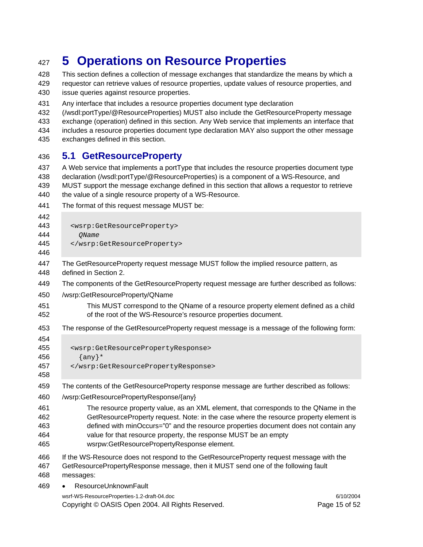# <sup>427</sup>**5 Operations on Resource Properties**

428 This section defines a collection of message exchanges that standardize the means by which a 429 requestor can retrieve values of resource properties, update values of resource properties, and 430 issue queries against resource properties.

431 Any interface that includes a resource properties document type declaration

432 (/wsdl:portType/@ResourceProperties) MUST also include the GetResourceProperty message

433 exchange (operation) defined in this section. Any Web service that implements an interface that

434 includes a resource properties document type declaration MAY also support the other message

435 exchanges defined in this section.

#### 436 **5.1 GetResourceProperty**

437 A Web service that implements a portType that includes the resource properties document type 438 declaration (/wsdl:portType/@ResourceProperties) is a component of a WS-Resource, and 439 MUST support the message exchange defined in this section that allows a requestor to retrieve 440 the value of a single resource property of a WS-Resource.

441 The format of this request message MUST be:

| 442<br>443<br>444<br>445<br>446 | <wsrp:getresourceproperty><br/>OName<br/></wsrp:getresourceproperty>                                 |
|---------------------------------|------------------------------------------------------------------------------------------------------|
| 447                             | The GetResourceProperty request message MUST follow the implied resource pattern, as                 |
| 448                             | defined in Section 2.                                                                                |
| 449                             | The components of the GetResourceProperty request message are further described as follows:          |
| 450                             | /wsrp:GetResourceProperty/QName                                                                      |
| 451                             | This MUST correspond to the QName of a resource property element defined as a child                  |
| 452                             | of the root of the WS-Resource's resource properties document.                                       |
| 453                             | The response of the GetResourceProperty request message is a message of the following form:          |
| 454<br>455<br>456<br>457<br>458 | <wsrp:getresourcepropertyresponse><br/><math>\{any\}</math>*<br/></wsrp:getresourcepropertyresponse> |
| 459                             | The contents of the GetResourceProperty response message are further described as follows:           |
| 460                             | /wsrp:GetResourcePropertyResponse/{any}                                                              |
| 461                             | The resource property value, as an XML element, that corresponds to the QName in the                 |
| 462                             | GetResourceProperty request. Note: in the case where the resource property element is                |
| 463                             | defined with minOccurs="0" and the resource properties document does not contain any                 |
| 464                             | value for that resource property, the response MUST be an empty                                      |
| 465                             | wsrpw:GetResourcePropertyResponse element.                                                           |
| 466                             | If the WS-Resource does not respond to the GetResourceProperty request message with the              |
| 467                             | GetResourcePropertyResponse message, then it MUST send one of the following fault                    |
| 468                             | messages:                                                                                            |
| 469                             | ResourceUnknownFault                                                                                 |

wsrf-WS-ResourceProperties-1.2-draft-04.doc 6/10/2004 Copyright © OASIS Open 2004. All Rights Reserved. Page 15 of 52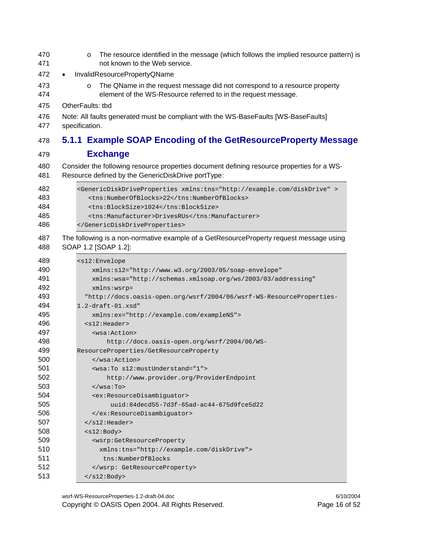- **o** The resource identified in the message (which follows the implied resource pattern) is 471 not known to the Web service.
- InvalidResourcePropertyQName
- o The QName in the request message did not correspond to a resource property 474 element of the WS-Resource referred to in the request message.
- 475 OtherFaults: tbd
- 476 Note: All faults generated must be compliant with the WS-BaseFaults [WS-BaseFaults] 477 specification.

#### **5.1.1 Example SOAP Encoding of the GetResourceProperty Message**

- **Exchange**
- 480 Consider the following resource properties document defining resource properties for a WS-481 Resource defined by the GenericDiskDrive portType:

| 482 | <genericdiskdriveproperties xmlns:tns="http://example.com/diskDrive"></genericdiskdriveproperties> |
|-----|----------------------------------------------------------------------------------------------------|
| 483 | <tns:numberofblocks>22</tns:numberofblocks>                                                        |
| 484 | <tns:blocksize>1024</tns:blocksize>                                                                |
| 485 | <tns:manufacturer>DrivesRUs</tns:manufacturer>                                                     |
| 486 |                                                                                                    |
|     |                                                                                                    |

487 The following is a non-normative example of a GetResourceProperty request message using 488 SOAP 1.2 [SOAP 1.2]:

| 489 | $<$ s $12$ : Envelope                                                |
|-----|----------------------------------------------------------------------|
| 490 | $xmlns: s12="http://www.w3.org/2003/05/soap-envelope"$               |
| 491 | xmlns:wsa="http://schemas.xmlsoap.org/ws/2003/03/addressing"         |
| 492 | $xmlns:wsrp =$                                                       |
| 493 | "http://docs.oasis-open.org/wsrf/2004/06/wsrf-WS-ResourceProperties- |
| 494 | $1.2$ -draft- $01.$ xsd"                                             |
| 495 | xmlns:ex="http://example.com/exampleNS">                             |
| 496 | $<$ s $12$ : Header>                                                 |
| 497 | <wsa:action></wsa:action>                                            |
| 498 | http://docs.oasis-open.org/wsrf/2004/06/WS-                          |
| 499 | ResourceProperties/GetResourceProperty                               |
| 500 | $\langle$ /wsa:Action>                                               |
| 501 | <wsa:to s12:mustunderstand="1"></wsa:to>                             |
| 502 | http://www.provider.org/ProviderEndpoint                             |
| 503 | $\langle$ /wsa:To>                                                   |
| 504 | <ex:resourcedisambiquator></ex:resourcedisambiquator>                |
| 505 | $uuid:84decd55-7d3f-65ad-ac44-675d9fce5d22$                          |
| 506 |                                                                      |
| 507 | $\langle$ /s $12$ :Header>                                           |
| 508 | $<$ s $12$ : Body>                                                   |
| 509 | <wsrp:getresourceproperty< th=""></wsrp:getresourceproperty<>        |
| 510 | xmlns: tns="http://example.com/diskDrive">                           |
| 511 | tns:NumberOfBlocks                                                   |
| 512 |                                                                      |
| 513 | $\langle$ s12:Body>                                                  |

wsrf-WS-ResourceProperties-1.2-draft-04.doc 6/10/2004 Copyright © OASIS Open 2004. All Rights Reserved. Page 16 of 52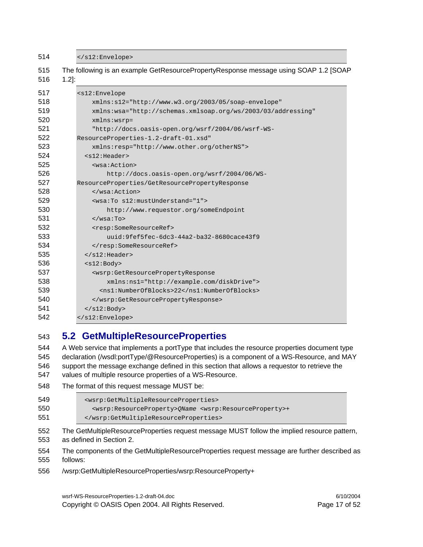514 </s12:Envelope>

| <s12:envelope< th=""></s12:envelope<>                                         |  |  |
|-------------------------------------------------------------------------------|--|--|
| $xmlns: s12="http://www.w3.org/2003/05/soap-envelope"$                        |  |  |
| xmlns:wsa="http://schemas.xmlsoap.org/ws/2003/03/addressing"                  |  |  |
| $xmlns:wsrp =$                                                                |  |  |
| "http://docs.oasis-open.org/wsrf/2004/06/wsrf-WS-                             |  |  |
| ResourceProperties-1.2-draft-01.xsd"                                          |  |  |
| xmlns:resp="http://www.other.org/otherNS">                                    |  |  |
| $<$ s $12$ :Header>                                                           |  |  |
| <wsa:action></wsa:action>                                                     |  |  |
| http://docs.oasis-open.org/wsrf/2004/06/WS-                                   |  |  |
| ResourceProperties/GetResourcePropertyResponse                                |  |  |
|                                                                               |  |  |
| <wsa:to s12:mustunderstand="1"></wsa:to>                                      |  |  |
| http://www.requestor.org/someEndpoint                                         |  |  |
| $\langle$ /wsa:To>                                                            |  |  |
| <resp:someresourceref></resp:someresourceref>                                 |  |  |
| uuid:9fef5fec-6dc3-44a2-ba32-8680cace43f9                                     |  |  |
|                                                                               |  |  |
| $\langle$ /s12:Header>                                                        |  |  |
| $<$ s $12$ : Body>                                                            |  |  |
| <wsrp:getresourcepropertyresponse< td=""></wsrp:getresourcepropertyresponse<> |  |  |
| xmlns:ns1="http://example.com/diskDrive">                                     |  |  |
| <ns1:numberofblocks>22</ns1:numberofblocks>                                   |  |  |
|                                                                               |  |  |
| $\langle$ s12:Body>                                                           |  |  |
|                                                                               |  |  |

#### 543 **5.2 GetMultipleResourceProperties**

544 A Web service that implements a portType that includes the resource properties document type 545 declaration (/wsdl:portType/@ResourceProperties) is a component of a WS-Resource, and MAY 546 support the message exchange defined in this section that allows a requestor to retrieve the 547 values of multiple resource properties of a WS-Resource.

548 The format of this request message MUST be:

| 549 | <wsrp:getmultipleresourceproperties></wsrp:getmultipleresourceproperties>                             |  |
|-----|-------------------------------------------------------------------------------------------------------|--|
| 550 | <wsrp:resourceproperty>QName <wsrp:resourceproperty>+</wsrp:resourceproperty></wsrp:resourceproperty> |  |
| 551 |                                                                                                       |  |

- 552 The GetMultipleResourceProperties request message MUST follow the implied resource pattern, 553 as defined in Section 2.
- 554 The components of the GetMultipleResourceProperties request message are further described as 555 follows:
- 556 /wsrp:GetMultipleResourceProperties/wsrp:ResourceProperty+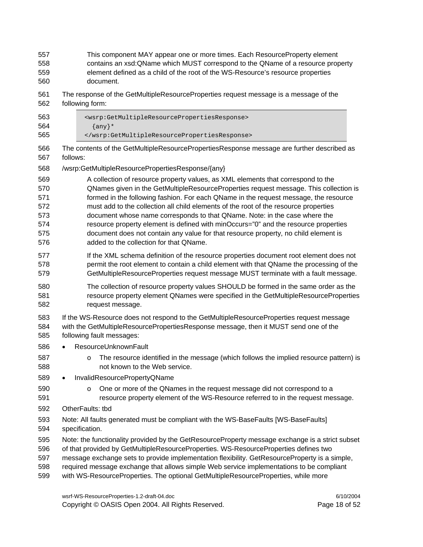- 557 This component MAY appear one or more times. Each ResourceProperty element 558 contains an xsd:QName which MUST correspond to the QName of a resource property 559 element defined as a child of the root of the WS-Resource's resource properties 560 document.
- 561 The response of the GetMultipleResourceProperties request message is a message of the
- 562 following form:

| 563 | <wsrp:getmultipleresourcepropertiesresponse></wsrp:getmultipleresourcepropertiesresponse> |
|-----|-------------------------------------------------------------------------------------------|
| 564 | $\{any\}$ *                                                                               |
| 565 |                                                                                           |

- 566 The contents of the GetMultipleResourcePropertiesResponse message are further described as 567 follows:
- 568 /wsrp:GetMultipleResourcePropertiesResponse/{any}
- 569 A collection of resource property values, as XML elements that correspond to the 570 QNames given in the GetMultipleResourceProperties request message. This collection is 571 formed in the following fashion. For each QName in the request message, the resource 572 must add to the collection all child elements of the root of the resource properties 573 document whose name corresponds to that QName. Note: in the case where the 574 resource property element is defined with minOccurs="0" and the resource properties 575 document does not contain any value for that resource property, no child element is
- 576 added to the collection for that QName.
- 577 If the XML schema definition of the resource properties document root element does not 578 permit the root element to contain a child element with that QName the processing of the 579 GetMultipleResourceProperties request message MUST terminate with a fault message.
- 580 The collection of resource property values SHOULD be formed in the same order as the 581 resource property element QNames were specified in the GetMultipleResourceProperties 582 request message.
- 583 If the WS-Resource does not respond to the GetMultipleResourceProperties request message 584 with the GetMultipleResourcePropertiesResponse message, then it MUST send one of the 585 following fault messages:
- 586 ResourceUnknownFault
- 587 **b** The resource identified in the message (which follows the implied resource pattern) is 588 not known to the Web service.
- 589 InvalidResourcePropertyQName
- 590 **o** One or more of the QNames in the request message did not correspond to a 591 resource property element of the WS-Resource referred to in the request message.
- 592 OtherFaults: tbd
- 593 Note: All faults generated must be compliant with the WS-BaseFaults [WS-BaseFaults] 594 specification.
- 595 Note: the functionality provided by the GetResourceProperty message exchange is a strict subset
- 596 of that provided by GetMultipleResourceProperties. WS-ResourceProperties defines two
- 597 message exchange sets to provide implementation flexibility. GetResourceProperty is a simple,
- 598 required message exchange that allows simple Web service implementations to be compliant
- 599 with WS-ResourceProperties. The optional GetMultipleResourceProperties, while more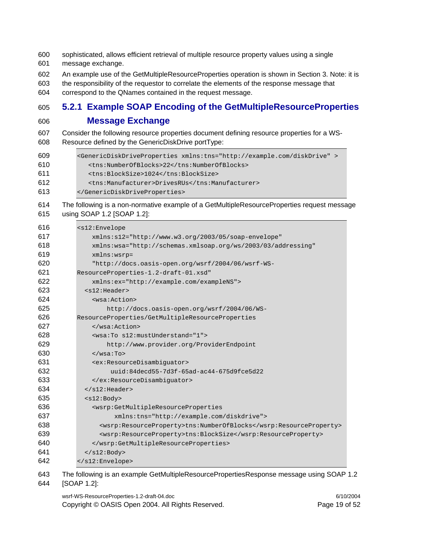- 600 sophisticated, allows efficient retrieval of multiple resource property values using a single 601 message exchange. 602 An example use of the GetMultipleResourceProperties operation is shown in Section 3. Note: it is 603 the responsibility of the requestor to correlate the elements of the response message that 604 correspond to the QNames contained in the request message. **5.2.1 Example SOAP Encoding of the GetMultipleResourceProperties Message Exchange**  607 Consider the following resource properties document defining resource properties for a WS-608 Resource defined by the GenericDiskDrive portType: <GenericDiskDriveProperties xmlns:tns="http://example.com/diskDrive" > <tns:NumberOfBlocks>22</tns:NumberOfBlocks> <tns:BlockSize>1024</tns:BlockSize> <tns:Manufacturer>DrivesRUs</tns:Manufacturer> </GenericDiskDriveProperties> 614 The following is a non-normative example of a GetMultipleResourceProperties request message 615 using SOAP 1.2 [SOAP 1.2]: <s12:Envelope xmlns:s12="http://www.w3.org/2003/05/soap-envelope" xmlns:wsa="http://schemas.xmlsoap.org/ws/2003/03/addressing" xmlns:wsrp= "http://docs.oasis-open.org/wsrf/2004/06/wsrf-WS-ResourceProperties-1.2-draft-01.xsd" xmlns:ex="http://example.com/exampleNS"> <s12:Header> <wsa:Action> http://docs.oasis-open.org/wsrf/2004/06/WS-ResourceProperties/GetMultipleResourceProperties </wsa:Action> <wsa:To s12:mustUnderstand="1"> http://www.provider.org/ProviderEndpoint </wsa:To> <ex:ResourceDisambiguator> uuid:84decd55-7d3f-65ad-ac44-675d9fce5d22 </ex:ResourceDisambiguator>  $634 \times /s12$ : Header> <s12:Body> <wsrp:GetMultipleResourceProperties xmlns:tns="http://example.com/diskdrive"> <wsrp:ResourceProperty>tns:NumberOfBlocks</wsrp:ResourceProperty> <wsrp:ResourceProperty>tns:BlockSize</wsrp:ResourceProperty> </wsrp:GetMultipleResourceProperties> </s12:Body> </s12:Envelope>
- 643 The following is an example GetMultipleResourcePropertiesResponse message using SOAP 1.2
- 644 [SOAP 1.2]:

wsrf-WS-ResourceProperties-1.2-draft-04.doc 6/10/2004 Copyright © OASIS Open 2004. All Rights Reserved. Page 19 of 52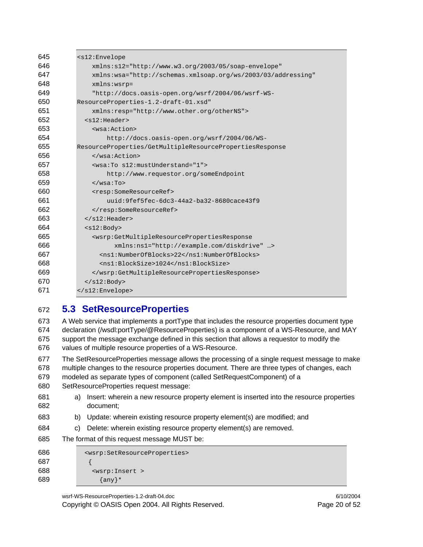| 645 | $<$ s $12$ : Envelope                                                                             |  |  |
|-----|---------------------------------------------------------------------------------------------------|--|--|
| 646 | $xmlns: s12="http://www.w3.org/2003/05/soap-envelope"$                                            |  |  |
| 647 | xmlns:wsa="http://schemas.xmlsoap.org/ws/2003/03/addressing"                                      |  |  |
| 648 | $xmlns:wsrp =$                                                                                    |  |  |
| 649 | "http://docs.oasis-open.org/wsrf/2004/06/wsrf-WS-                                                 |  |  |
| 650 | ResourceProperties-1.2-draft-01.xsd"                                                              |  |  |
| 651 | xmlns: resp="http://www.other.org/otherNS">                                                       |  |  |
| 652 | $<$ s $12$ : Header>                                                                              |  |  |
| 653 | <wsa:action></wsa:action>                                                                         |  |  |
| 654 | http://docs.oasis-open.org/wsrf/2004/06/WS-                                                       |  |  |
| 655 | ResourceProperties/GetMultipleResourcePropertiesResponse                                          |  |  |
| 656 | $\langle$ /wsa:Action>                                                                            |  |  |
| 657 | <wsa:to s12:mustunderstand="1"></wsa:to>                                                          |  |  |
| 658 | http://www.requestor.org/someEndpoint                                                             |  |  |
| 659 | $\langle$ /wsa:To>                                                                                |  |  |
| 660 | <resp:someresourceref></resp:someresourceref>                                                     |  |  |
| 661 | uuid:9fef5fec-6dc3-44a2-ba32-8680cace43f9                                                         |  |  |
| 662 |                                                                                                   |  |  |
| 663 | $\langle$ /s12:Header>                                                                            |  |  |
| 664 | $<$ s $12$ : Body>                                                                                |  |  |
| 665 | <wsrp:getmultipleresourcepropertiesresponse< th=""></wsrp:getmultipleresourcepropertiesresponse<> |  |  |
| 666 | xmlns:ns1="http://example.com/diskdrive" >                                                        |  |  |
| 667 | <ns1:numberofblocks>22</ns1:numberofblocks>                                                       |  |  |
| 668 | <ns1:blocksize>1024</ns1:blocksize>                                                               |  |  |
| 669 |                                                                                                   |  |  |
| 670 | $\langle$ /s $12:$ Body>                                                                          |  |  |
| 671 |                                                                                                   |  |  |

### **5.3 SetResourceProperties**

673 A Web service that implements a portType that includes the resource properties document type 674 declaration (/wsdl:portType/@ResourceProperties) is a component of a WS-Resource, and MAY 675 support the message exchange defined in this section that allows a requestor to modify the 676 values of multiple resource properties of a WS-Resource.

677 The SetResourceProperties message allows the processing of a single request message to make 678 multiple changes to the resource properties document. There are three types of changes, each

679 modeled as separate types of component (called SetRequestComponent) of a

- 680 SetResourceProperties request message:
- 681 a) Insert: wherein a new resource property element is inserted into the resource properties 682 document;
- 683 b) Update: wherein existing resource property element(s) are modified; and
- 684 c) Delete: wherein existing resource property element(s) are removed.
- 685 The format of this request message MUST be:

| 686 | <wsrp:setresourceproperties></wsrp:setresourceproperties> |
|-----|-----------------------------------------------------------|
| 687 |                                                           |
| 688 | <wsrp: insert=""></wsrp:>                                 |
| 689 | $\{any\}$ *                                               |

wsrf-WS-ResourceProperties-1.2-draft-04.doc 6/10/2004 Copyright © OASIS Open 2004. All Rights Reserved. Page 20 of 52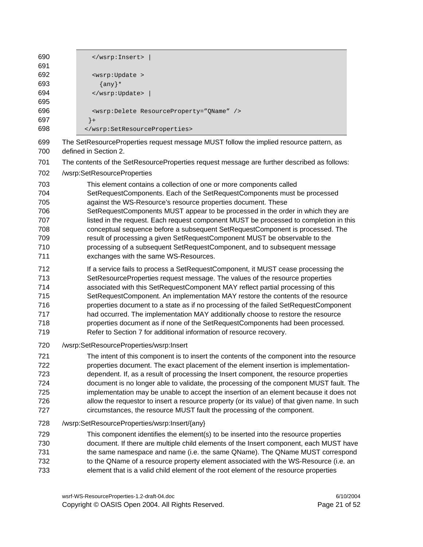690 </wsrp:Insert> | 691 692 <wsrp:Update > 693 {any}\* 694 </wsrp:Update> | 695 696 <wsrp:Delete ResourceProperty="QName" /> 697 } + 698 </wsrp:SetResourceProperties>

- 699 The SetResourceProperties request message MUST follow the implied resource pattern, as 700 defined in Section 2.
- 701 The contents of the SetResourceProperties request message are further described as follows:
- 702 /wsrp:SetResourceProperties
- 703 This element contains a collection of one or more components called
- 704 SetRequestComponents. Each of the SetRequestComponents must be processed 705 against the WS-Resource's resource properties document. These
- 706 SetRequestComponents MUST appear to be processed in the order in which they are 707 listed in the request. Each request component MUST be processed to completion in this 708 conceptual sequence before a subsequent SetRequestComponent is processed. The 709 result of processing a given SetRequestComponent MUST be observable to the 710 processing of a subsequent SetRequestComponent, and to subsequent message
- 711 exchanges with the same WS-Resources.
- 712 If a service fails to process a SetRequestComponent, it MUST cease processing the
- 713 SetResourceProperties request message. The values of the resource properties
- 714 associated with this SetRequestComponent MAY reflect partial processing of this 715 SetRequestComponent. An implementation MAY restore the contents of the resource
- 716 properties document to a state as if no processing of the failed SetRequestComponent
- 717 had occurred. The implementation MAY additionally choose to restore the resource
- 718 properties document as if none of the SetRequestComponents had been processed.
- 719 Refer to Section 7 for additional information of resource recovery.
- 720 /wsrp:SetResourceProperties/wsrp:Insert
- 721 The intent of this component is to insert the contents of the component into the resource 722 properties document. The exact placement of the element insertion is implementation-723 dependent. If, as a result of processing the Insert component, the resource properties 724 document is no longer able to validate, the processing of the component MUST fault. The 725 implementation may be unable to accept the insertion of an element because it does not 726 allow the requestor to insert a resource property (or its value) of that given name. In such 727 circumstances, the resource MUST fault the processing of the component.
- 728 /wsrp:SetResourceProperties/wsrp:Insert/{any}
- 729 This component identifies the element(s) to be inserted into the resource properties
- 730 document. If there are multiple child elements of the Insert component, each MUST have
- 731 the same namespace and name (i.e. the same QName). The QName MUST correspond
- 732 to the QName of a resource property element associated with the WS-Resource (i.e. an
- 733 element that is a valid child element of the root element of the resource properties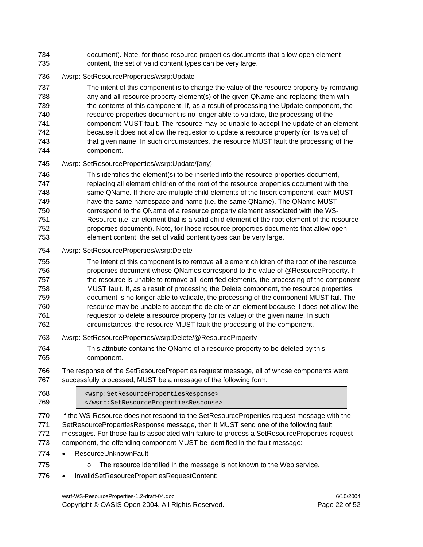- 734 document). Note, for those resource properties documents that allow open element 735 content, the set of valid content types can be very large.
- 736 /wsrp: SetResourceProperties/wsrp:Update

737 The intent of this component is to change the value of the resource property by removing 738 any and all resource property element(s) of the given QName and replacing them with 739 the contents of this component. If, as a result of processing the Update component, the 740 resource properties document is no longer able to validate, the processing of the 741 component MUST fault. The resource may be unable to accept the update of an element 742 because it does not allow the requestor to update a resource property (or its value) of 743 that given name. In such circumstances, the resource MUST fault the processing of the 744 component.

#### 745 /wsrp: SetResourceProperties/wsrp:Update/{any}

746 This identifies the element(s) to be inserted into the resource properties document, 747 replacing all element children of the root of the resource properties document with the 748 same QName. If there are multiple child elements of the Insert component, each MUST 749 have the same namespace and name (i.e. the same QName). The QName MUST 750 correspond to the QName of a resource property element associated with the WS-751 Resource (i.e. an element that is a valid child element of the root element of the resource 752 properties document). Note, for those resource properties documents that allow open

- 753 element content, the set of valid content types can be very large.
- 754 /wsrp: SetResourceProperties/wsrp:Delete
- 755 The intent of this component is to remove all element children of the root of the resource 756 properties document whose QNames correspond to the value of @ResourceProperty. If 757 the resource is unable to remove all identified elements, the processing of the component 758 MUST fault. If, as a result of processing the Delete component, the resource properties 759 document is no longer able to validate, the processing of the component MUST fail. The 760 resource may be unable to accept the delete of an element because it does not allow the 761 requestor to delete a resource property (or its value) of the given name. In such
- 762 circumstances, the resource MUST fault the processing of the component.
- 763 /wsrp: SetResourceProperties/wsrp:Delete/@ResourceProperty
- 764 This attribute contains the QName of a resource property to be deleted by this 765 component.

#### 766 The response of the SetResourceProperties request message, all of whose components were 767 successfully processed, MUST be a message of the following form:

- 768 <wsrp:SetResourcePropertiesResponse> 769 </wsrp:SetResourcePropertiesResponse>
- 770 If the WS-Resource does not respond to the SetResourceProperties request message with the 771 SetResourcePropertiesResponse message, then it MUST send one of the following fault 772 messages. For those faults associated with failure to process a SetResourceProperties request 773 component, the offending component MUST be identified in the fault message:
- 774 ResourceUnknownFault
- 775 **b The resource identified in the message is not known to the Web service.**
- 776 InvalidSetResourcePropertiesRequestContent:

wsrf-WS-ResourceProperties-1.2-draft-04.doc 6/10/2004 Copyright © OASIS Open 2004. All Rights Reserved. Page 22 of 52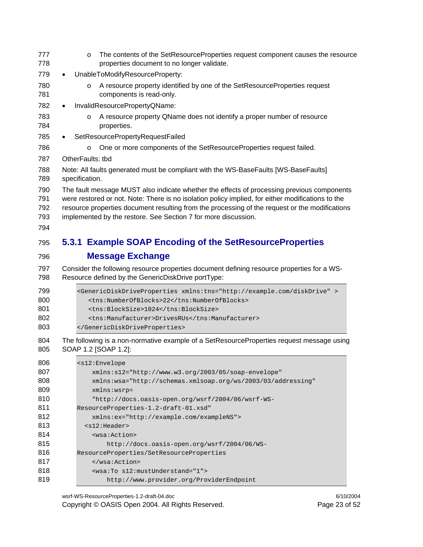| 778                                                                                                                        |           | $\circ$          | The contents of the SetResourceProperties request component causes the resource<br>properties document to no longer validate.                                                                                                                                                                                                                                       |
|----------------------------------------------------------------------------------------------------------------------------|-----------|------------------|---------------------------------------------------------------------------------------------------------------------------------------------------------------------------------------------------------------------------------------------------------------------------------------------------------------------------------------------------------------------|
| 779                                                                                                                        |           |                  | UnableToModifyResourceProperty:                                                                                                                                                                                                                                                                                                                                     |
| 780<br>781                                                                                                                 |           | $\circ$          | A resource property identified by one of the SetResourceProperties request<br>components is read-only.                                                                                                                                                                                                                                                              |
| 782                                                                                                                        | $\bullet$ |                  | InvalidResourcePropertyQName:                                                                                                                                                                                                                                                                                                                                       |
| 783<br>784                                                                                                                 |           | $\circ$          | A resource property QName does not identify a proper number of resource<br>properties.                                                                                                                                                                                                                                                                              |
| 785                                                                                                                        | $\bullet$ |                  | SetResourcePropertyRequestFailed                                                                                                                                                                                                                                                                                                                                    |
| 786                                                                                                                        |           | $\circ$          | One or more components of the SetResourceProperties request failed.                                                                                                                                                                                                                                                                                                 |
| 787                                                                                                                        |           | OtherFaults: tbd |                                                                                                                                                                                                                                                                                                                                                                     |
| 788<br>789                                                                                                                 |           | specification.   | Note: All faults generated must be compliant with the WS-BaseFaults [WS-BaseFaults]                                                                                                                                                                                                                                                                                 |
| 790<br>791<br>792<br>793<br>794                                                                                            |           |                  | The fault message MUST also indicate whether the effects of processing previous components<br>were restored or not. Note: There is no isolation policy implied, for either modifications to the<br>resource properties document resulting from the processing of the request or the modifications<br>implemented by the restore. See Section 7 for more discussion. |
| 795                                                                                                                        |           |                  | 5.3.1 Example SOAP Encoding of the SetResourceProperties                                                                                                                                                                                                                                                                                                            |
| 796                                                                                                                        |           |                  | <b>Message Exchange</b>                                                                                                                                                                                                                                                                                                                                             |
| 797<br>798                                                                                                                 |           |                  | Consider the following resource properties document defining resource properties for a WS-<br>Resource defined by the GenericDiskDrive portType:                                                                                                                                                                                                                    |
| 799<br>800                                                                                                                 |           |                  |                                                                                                                                                                                                                                                                                                                                                                     |
|                                                                                                                            |           |                  | <genericdiskdriveproperties xmlns:tns="http://example.com/diskDrive"><br/><tns:numberofblocks>22</tns:numberofblocks><br/><tns:blocksize>1024</tns:blocksize><br/><tns:manufacturer>DrivesRUs</tns:manufacturer><br/></genericdiskdriveproperties>                                                                                                                  |
|                                                                                                                            |           |                  | The following is a non-normative example of a SetResourceProperties request message using<br>SOAP 1.2 [SOAP 1.2]:                                                                                                                                                                                                                                                   |
|                                                                                                                            |           |                  | <s12:envelope< td=""></s12:envelope<>                                                                                                                                                                                                                                                                                                                               |
|                                                                                                                            |           |                  | xmlns:s12="http://www.w3.org/2003/05/soap-envelope"                                                                                                                                                                                                                                                                                                                 |
|                                                                                                                            |           |                  | xmlns:wsa="http://schemas.xmlsoap.org/ws/2003/03/addressing"                                                                                                                                                                                                                                                                                                        |
|                                                                                                                            |           |                  | $xmlns:wsrp =$                                                                                                                                                                                                                                                                                                                                                      |
|                                                                                                                            |           |                  | "http://docs.oasis-open.org/wsrf/2004/06/wsrf-WS-                                                                                                                                                                                                                                                                                                                   |
|                                                                                                                            |           |                  | ResourceProperties-1.2-draft-01.xsd"                                                                                                                                                                                                                                                                                                                                |
|                                                                                                                            |           |                  | xmlns:ex="http://example.com/exampleNS">                                                                                                                                                                                                                                                                                                                            |
|                                                                                                                            |           |                  | $<$ s $12$ :Header>                                                                                                                                                                                                                                                                                                                                                 |
|                                                                                                                            |           |                  | <wsa:action></wsa:action>                                                                                                                                                                                                                                                                                                                                           |
|                                                                                                                            |           |                  | http://docs.oasis-open.org/wsrf/2004/06/WS-                                                                                                                                                                                                                                                                                                                         |
|                                                                                                                            |           |                  | ResourceProperties/SetResourceProperties                                                                                                                                                                                                                                                                                                                            |
| 801<br>802<br>803<br>804<br>805<br>806<br>807<br>808<br>809<br>810<br>811<br>812<br>813<br>814<br>815<br>816<br>817<br>818 |           |                  | <br><wsa:to s12:mustunderstand="1"></wsa:to>                                                                                                                                                                                                                                                                                                                        |

wsrf-WS-ResourceProperties-1.2-draft-04.doc 6/10/2004 Copyright © OASIS Open 2004. All Rights Reserved. Page 23 of 52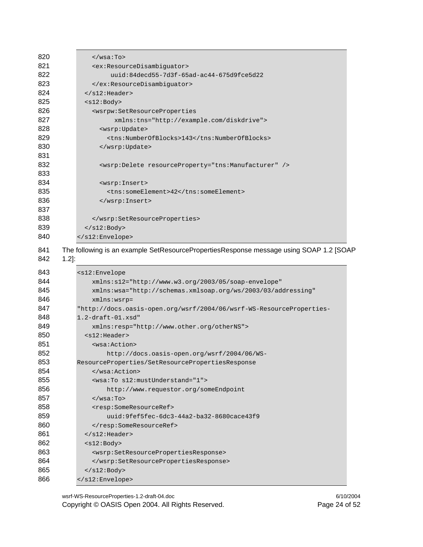| 820                          | $\langle$ /wsa:To>                                                        |  |  |  |
|------------------------------|---------------------------------------------------------------------------|--|--|--|
| 821                          | <ex:resourcedisambiguator></ex:resourcedisambiguator>                     |  |  |  |
| 822                          | $uuid:84decd55-7d3f-65ad-ac44-675d9fce5d22$                               |  |  |  |
| 823                          |                                                                           |  |  |  |
| 824                          | $\langle$ /s $12$ : Header>                                               |  |  |  |
| 825                          | $<$ s $12$ : Body>                                                        |  |  |  |
| 826                          | <wsrpw:setresourceproperties< th=""></wsrpw:setresourceproperties<>       |  |  |  |
| 827                          | xmlns:tns="http://example.com/diskdrive">                                 |  |  |  |
| 828                          | <wsrp: update=""></wsrp:>                                                 |  |  |  |
| 829                          | <tns:numberofblocks>143</tns:numberofblocks>                              |  |  |  |
| 830                          |                                                                           |  |  |  |
| 831                          |                                                                           |  |  |  |
| 832                          | <wsrp:delete resourceproperty="tns:Manufacturer"></wsrp:delete>           |  |  |  |
| 833                          |                                                                           |  |  |  |
| 834                          | <wsrp: insert=""></wsrp:>                                                 |  |  |  |
| 835                          | <tns:someelement>42</tns:someelement>                                     |  |  |  |
| 836                          |                                                                           |  |  |  |
| 837                          |                                                                           |  |  |  |
| 838                          |                                                                           |  |  |  |
| 839                          | $\langle$ s12: Body>                                                      |  |  |  |
| 840                          |                                                                           |  |  |  |
| 842<br>$1.2$ :               |                                                                           |  |  |  |
|                              |                                                                           |  |  |  |
| 843<br>$<$ s $12$ : Envelope |                                                                           |  |  |  |
| 844                          | xmlns:s12="http://www.w3.org/2003/05/soap-envelope"                       |  |  |  |
| 845                          | xmlns:wsa="http://schemas.xmlsoap.org/ws/2003/03/addressing"              |  |  |  |
| 846                          | $xmlns:wsrp =$                                                            |  |  |  |
| 847                          | "http://docs.oasis-open.org/wsrf/2004/06/wsrf-WS-ResourceProperties-      |  |  |  |
| 848                          | $1.2$ -draft- $01.x$ sd"                                                  |  |  |  |
| 849                          | xmlns: resp="http://www.other.org/otherNS">                               |  |  |  |
| 850                          | $<$ s $12$ : Header>                                                      |  |  |  |
| 851                          | <wsa:action></wsa:action>                                                 |  |  |  |
| 852                          | http://docs.oasis-open.org/wsrf/2004/06/WS-                               |  |  |  |
| 853                          | ResourceProperties/SetResourcePropertiesResponse                          |  |  |  |
| 854                          |                                                                           |  |  |  |
| 855                          | <wsa:to s12:mustunderstand="1"></wsa:to>                                  |  |  |  |
| 856                          | http://www.requestor.org/someEndpoint                                     |  |  |  |
| 857                          | $\langle$ /wsa:To>                                                        |  |  |  |
| 858                          | <resp:someresourceref></resp:someresourceref>                             |  |  |  |
| 859                          | uuid:9fef5fec-6dc3-44a2-ba32-8680cace43f9                                 |  |  |  |
| 860                          |                                                                           |  |  |  |
| 861                          | $\langle$ /s12:Header><br>$<$ s $12$ : Body>                              |  |  |  |
| 862<br>863                   | <wsrp:setresourcepropertiesresponse></wsrp:setresourcepropertiesresponse> |  |  |  |
| 864                          |                                                                           |  |  |  |
| 865                          | $\langle$ s12: Body>                                                      |  |  |  |

wsrf-WS-ResourceProperties-1.2-draft-04.doc 6/10/2004 Copyright © OASIS Open 2004. All Rights Reserved. Page 24 of 52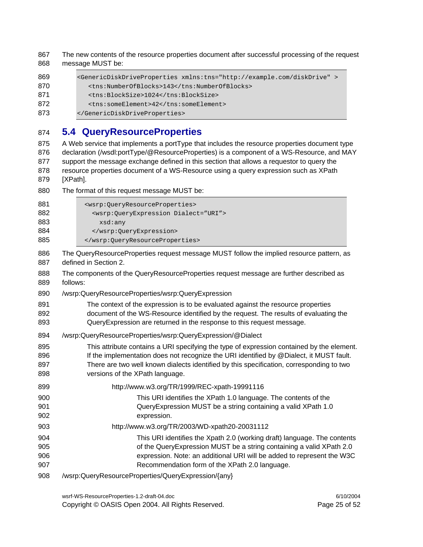867 The new contents of the resource properties document after successful processing of the request 868 message MUST be: 869 <GenericDiskDriveProperties xmlns:tns="http://example.com/diskDrive" > 870 <tns:NumberOfBlocks>143</tns:NumberOfBlocks> 871 <tns:BlockSize>1024</tns:BlockSize> 872 <tns:someElement>42</tns:someElement> 873 </GenericDiskDriveProperties> 874 **5.4 QueryResourceProperties**  875 A Web service that implements a portType that includes the resource properties document type 876 declaration (/wsdl:portType/@ResourceProperties) is a component of a WS-Resource, and MAY 877 support the message exchange defined in this section that allows a requestor to query the 878 resource properties document of a WS-Resource using a query expression such as XPath 879 [XPath]. 880 The format of this request message MUST be: 881 <wsrp:QueryResourceProperties> 882 <wsrp:QueryExpression Dialect="URI"> 883 xsd:any 884 </wsrp:QueryExpression> 885 </wsrp:QueryResourceProperties> 886 The QueryResourceProperties request message MUST follow the implied resource pattern, as 887 defined in Section 2. 888 The components of the QueryResourceProperties request message are further described as 889 follows: 890 /wsrp:QueryResourceProperties/wsrp:QueryExpression 891 The context of the expression is to be evaluated against the resource properties 892 document of the WS-Resource identified by the request. The results of evaluating the 893 QueryExpression are returned in the response to this request message. 894 /wsrp:QueryResourceProperties/wsrp:QueryExpression/@Dialect 895 This attribute contains a URI specifying the type of expression contained by the element. 896 If the implementation does not recognize the URI identified by @Dialect, it MUST fault. 897 There are two well known dialects identified by this specification, corresponding to two 898 versions of the XPath language. 899 http://www.w3.org/TR/1999/REC-xpath-19991116 900 This URI identifies the XPath 1.0 language. The contents of the 901 QueryExpression MUST be a string containing a valid XPath 1.0 902 expression. 903 http://www.w3.org/TR/2003/WD-xpath20-20031112 904 This URI identifies the Xpath 2.0 (working draft) language. The contents 905 **be a string containing a valid XPath 2.0** of the QueryExpression MUST be a string containing a valid XPath 2.0 906 expression. Note: an additional URI will be added to represent the W3C 907 Recommendation form of the XPath 2.0 language. 908 /wsrp:QueryResourceProperties/QueryExpression/{any}

wsrf-WS-ResourceProperties-1.2-draft-04.doc 6/10/2004 Copyright © OASIS Open 2004. All Rights Reserved. Page 25 of 52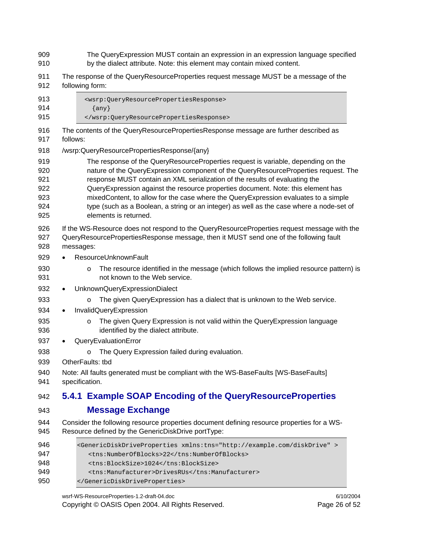- 909 The QueryExpression MUST contain an expression in an expression language specified 910 by the dialect attribute. Note: this element may contain mixed content.
- 911 The response of the QueryResourceProperties request message MUST be a message of the 912 following form:
- 913 <wsrp:QueryResourcePropertiesResponse> 914 {any} 915 </wsrp:QueryResourcePropertiesResponse> 916 The contents of the QueryResourcePropertiesResponse message are further described as 917 follows: 918 /wsrp:QueryResourcePropertiesResponse/{any} 919 The response of the QueryResourceProperties request is variable, depending on the 920 nature of the QueryExpression component of the QueryResourceProperties request. The 921 response MUST contain an XML serialization of the results of evaluating the 922 QueryExpression against the resource properties document. Note: this element has 923 mixedContent, to allow for the case where the QueryExpression evaluates to a simple 924 type (such as a Boolean, a string or an integer) as well as the case where a node-set of 925 elements is returned. 926 If the WS-Resource does not respond to the QueryResourceProperties request message with the 927 QueryResourcePropertiesResponse message, then it MUST send one of the following fault 928 messages: 929 • ResourceUnknownFault 930 **b** The resource identified in the message (which follows the implied resource pattern) is 931 not known to the Web service. 932 • UnknownQueryExpressionDialect 933 **o** The given QueryExpression has a dialect that is unknown to the Web service. 934 • InvalidQueryExpression 935 **b Expression is not valid within the QueryExpression language** equation of the given Repression language 936 identified by the dialect attribute. 937 • QueryEvaluationError 938 **b** o The Query Expression failed during evaluation. 939 OtherFaults: tbd 940 Note: All faults generated must be compliant with the WS-BaseFaults [WS-BaseFaults] 941 specification. 942 **5.4.1 Example SOAP Encoding of the QueryResourceProperties**  943 **Message Exchange**  944 Consider the following resource properties document defining resource properties for a WS-945 Resource defined by the GenericDiskDrive portType: 946 <GenericDiskDriveProperties xmlns:tns="http://example.com/diskDrive" > 947 <tns:NumberOfBlocks>22</tns:NumberOfBlocks> 948 <tns:BlockSize>1024</tns:BlockSize>
- 949 <tns:Manufacturer>DrivesRUs</tns:Manufacturer>

wsrf-WS-ResourceProperties-1.2-draft-04.doc 6/10/2004 Copyright © OASIS Open 2004. All Rights Reserved. Page 26 of 52

950 </GenericDiskDriveProperties>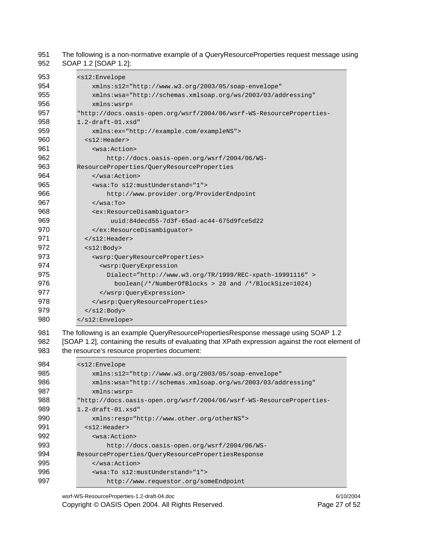951 The following is a non-normative example of a QueryResourceProperties request message using 952 SOAP 1.2 [SOAP 1.2]:

| 953 | <s12:envelope< th=""></s12:envelope<>                                |  |  |
|-----|----------------------------------------------------------------------|--|--|
| 954 | xmlns:s12="http://www.w3.org/2003/05/soap-envelope"                  |  |  |
| 955 | xmlns:wsa="http://schemas.xmlsoap.org/ws/2003/03/addressing"         |  |  |
| 956 | $xmlns:wsrp =$                                                       |  |  |
| 957 | "http://docs.oasis-open.org/wsrf/2004/06/wsrf-WS-ResourceProperties- |  |  |
| 958 | $1.2$ -draft- $01.$ xsd"                                             |  |  |
| 959 | xmlns:ex="http://example.com/exampleNS">                             |  |  |
| 960 | $<$ s $12$ : Header>                                                 |  |  |
| 961 | <wsa:action></wsa:action>                                            |  |  |
| 962 | http://docs.oasis-open.org/wsrf/2004/06/WS-                          |  |  |
| 963 | ResourceProperties/QueryResourceProperties                           |  |  |
| 964 | $\langle$ /wsa:Action>                                               |  |  |
| 965 | <wsa:to s12:mustunderstand="1"></wsa:to>                             |  |  |
| 966 | http://www.provider.org/ProviderEndpoint                             |  |  |
| 967 | $\langle$ /wsa:To>                                                   |  |  |
| 968 | <ex:resourcedisambiquator></ex:resourcedisambiquator>                |  |  |
| 969 | $uuid:84decd55-7d3f-65ad-ac44-675d9fce5d22$                          |  |  |
| 970 |                                                                      |  |  |
| 971 | $\langle$ /s12:Header>                                               |  |  |
| 972 | $<$ s $12$ : Body>                                                   |  |  |
| 973 | <wsrp:queryresourceproperties></wsrp:queryresourceproperties>        |  |  |
| 974 | <wsrp:queryexpression< th=""></wsrp:queryexpression<>                |  |  |
| 975 | Dialect="http://www.w3.org/TR/1999/REC-xpath-19991116" >             |  |  |
| 976 | $boolean$ / */NumberOfBlocks > 20 and /*/BlockSize=1024)             |  |  |
| 977 |                                                                      |  |  |
| 978 |                                                                      |  |  |
| 979 | $\langle$ s12:Body>                                                  |  |  |
| 980 |                                                                      |  |  |
| .   |                                                                      |  |  |

981 The following is an example QueryResourcePropertiesResponse message using SOAP 1.2 982 [SOAP 1.2], containing the results of evaluating that XPath expression against the root element of 983 the resource's resource properties document:

| 984 | $<$ s $12$ : Envelope                                                |  |  |
|-----|----------------------------------------------------------------------|--|--|
| 985 | $xmlns: s12 = "http://www.w3.org/2003/05/soap-envelope"$             |  |  |
| 986 | xmlns:wsa="http://schemas.xmlsoap.org/ws/2003/03/addressing"         |  |  |
| 987 | $xmlns:wsrp =$                                                       |  |  |
| 988 | "http://docs.oasis-open.org/wsrf/2004/06/wsrf-WS-ResourceProperties- |  |  |
| 989 | $1.2$ -draft- $01.x$ sd"                                             |  |  |
| 990 | xmlns: resp="http://www.other.org/otherNS">                          |  |  |
| 991 | $<$ s $12$ : Header>                                                 |  |  |
| 992 | <wsa:action></wsa:action>                                            |  |  |
| 993 | http://docs.oasis-open.org/wsrf/2004/06/WS-                          |  |  |
| 994 | ResourceProperties/OueryResourcePropertiesResponse                   |  |  |
| 995 | $\langle$ /wsa:Action>                                               |  |  |
| 996 | <wsa:to s12:mustunderstand="1"></wsa:to>                             |  |  |
| 997 | http://www.requestor.org/someEndpoint                                |  |  |

wsrf-WS-ResourceProperties-1.2-draft-04.doc 6/10/2004 Copyright © OASIS Open 2004. All Rights Reserved. Page 27 of 52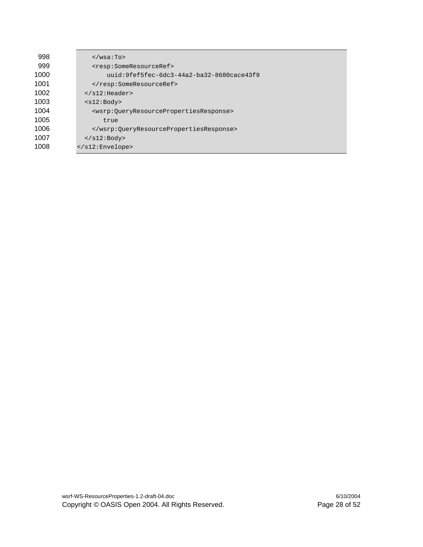| 998  | $\langle$ /wsa:To>                                                            |  |  |  |
|------|-------------------------------------------------------------------------------|--|--|--|
| 999  | <resp:someresourceref></resp:someresourceref>                                 |  |  |  |
| 1000 | uuid:9fef5fec-6dc3-44a2-ba32-8680cace43f9                                     |  |  |  |
| 1001 |                                                                               |  |  |  |
| 1002 | $\langle$ /s12:Header>                                                        |  |  |  |
| 1003 | $<$ s $12$ : Body>                                                            |  |  |  |
| 1004 | <wsrp:0ueryresourcepropertiesresponse></wsrp:0ueryresourcepropertiesresponse> |  |  |  |
| 1005 | true                                                                          |  |  |  |
| 1006 |                                                                               |  |  |  |
| 1007 | $\langle$ s12: Body>                                                          |  |  |  |
| 1008 | $\langle$ /s $12$ : Envelope>                                                 |  |  |  |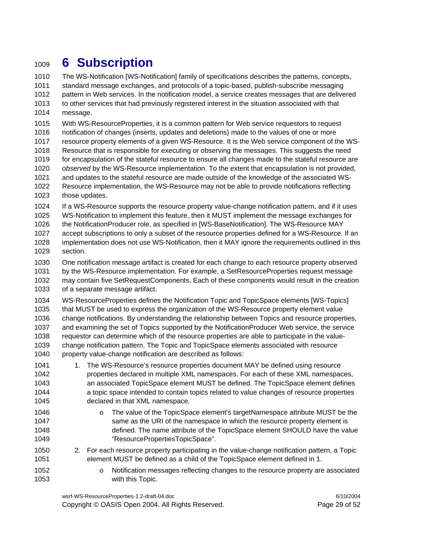# <sup>1009</sup>**6 Subscription**

1010 The WS-Notification [WS-Notification] family of specifications describes the patterns, concepts, 1011 standard message exchanges, and protocols of a topic-based, publish-subscribe messaging 1012 pattern in Web services. In the notification model, a service creates messages that are delivered 1013 to other services that had previously registered interest in the situation associated with that 1014 message.

1015 With WS-ResourceProperties, it is a common pattern for Web service requestors to request 1016 notification of changes (inserts, updates and deletions) made to the values of one or more 1017 resource property elements of a given WS-Resource. It is the Web service component of the WS-1018 Resource that is responsible for executing or observing the messages. This suggests the need 1019 for encapsulation of the stateful resource to ensure all changes made to the stateful resource are 1020 *observed* by the WS-Resource implementation. To the extent that encapsulation is not provided, 1021 and updates to the stateful resource are made outside of the knowledge of the associated WS-1022 Resource implementation, the WS-Resource may not be able to provide notifications reflecting 1023 those updates.

1024 If a WS-Resource supports the resource property value-change notification pattern, and if it uses 1025 WS-Notification to implement this feature, then it MUST implement the message exchanges for

1026 the NotificationProducer role, as specified in [WS-BaseNotification]. The WS-Resource MAY 1027 accept subscriptions to only a subset of the resource properties defined for a WS-Resource. If an 1028 implementation does not use WS-Notification, then it MAY ignore the requirements outlined in this

1029 section.

1030 One notification message artifact is created for each change to each resource property observed 1031 by the WS-Resource implementation. For example, a SetResourceProperties request message 1032 may contain five SetRequestComponents. Each of these components would result in the creation 1033 of a separate message artifact.

1034 WS-ResourceProperties defines the Notification Topic and TopicSpace elements [WS-Topics] 1035 that MUST be used to express the organization of the WS-Resource property element value 1036 change notifications. By understanding the relationship between Topics and resource properties, 1037 and examining the set of Topics supported by the NotificationProducer Web service, the service 1038 requestor can determine which of the resource properties are able to participate in the value-1039 change notification pattern. The Topic and TopicSpace elements associated with resource 1040 property value-change notification are described as follows:

- 1041 1. The WS-Resource's resource properties document MAY be defined using resource 1042 properties declared in multiple XML namespaces. For each of these XML namespaces, 1043 an associated TopicSpace element MUST be defined. The TopicSpace element defines 1044 a topic space intended to contain topics related to value changes of resource properties 1045 declared in that XML namespace.
- 1046 **b Chambell Communist Communist Communist Communist Communist Communist Communist Communist Communist Comm** 1047 same as the URI of the namespace in which the resource property element is 1048 defined. The name attribute of the TopicSpace element SHOULD have the value 1049 "ResourcePropertiesTopicSpace".
- 1050 2. For each resource property participating in the value-change notification pattern, a Topic 1051 element MUST be defined as a child of the TopicSpace element defined in 1.
- 
- 1052 o Notification messages reflecting changes to the resource property are associated 1053 with this Topic.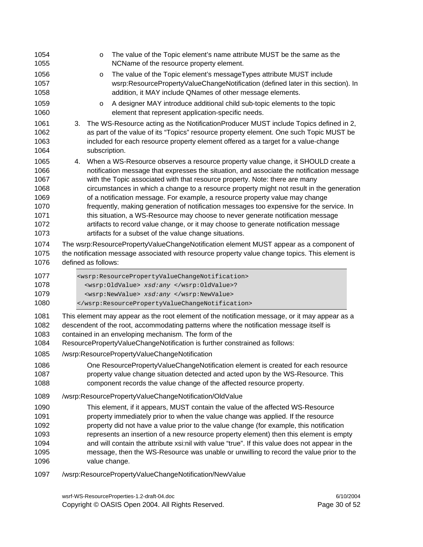| 1054<br>1055                                                         | $\circ$<br>NCName of the resource property element.                                                                                                                                           | The value of the Topic element's name attribute MUST be the same as the                                                                                                                                                                                                                                                                                                                                                                                                                                                                                                                                                                                                                                         |
|----------------------------------------------------------------------|-----------------------------------------------------------------------------------------------------------------------------------------------------------------------------------------------|-----------------------------------------------------------------------------------------------------------------------------------------------------------------------------------------------------------------------------------------------------------------------------------------------------------------------------------------------------------------------------------------------------------------------------------------------------------------------------------------------------------------------------------------------------------------------------------------------------------------------------------------------------------------------------------------------------------------|
| 1056<br>1057<br>1058                                                 | O                                                                                                                                                                                             | The value of the Topic element's messageTypes attribute MUST include<br>wsrp:ResourcePropertyValueChangeNotification (defined later in this section). In<br>addition, it MAY include QNames of other message elements.                                                                                                                                                                                                                                                                                                                                                                                                                                                                                          |
| 1059<br>1060                                                         | $\circ$<br>element that represent application-specific needs.                                                                                                                                 | A designer MAY introduce additional child sub-topic elements to the topic                                                                                                                                                                                                                                                                                                                                                                                                                                                                                                                                                                                                                                       |
| 1061<br>1062<br>1063<br>1064                                         | 3.<br>subscription.                                                                                                                                                                           | The WS-Resource acting as the NotificationProducer MUST include Topics defined in 2,<br>as part of the value of its "Topics" resource property element. One such Topic MUST be<br>included for each resource property element offered as a target for a value-change                                                                                                                                                                                                                                                                                                                                                                                                                                            |
| 1065<br>1066<br>1067<br>1068<br>1069<br>1070<br>1071<br>1072<br>1073 | 4.<br>artifacts for a subset of the value change situations.                                                                                                                                  | When a WS-Resource observes a resource property value change, it SHOULD create a<br>notification message that expresses the situation, and associate the notification message<br>with the Topic associated with that resource property. Note: there are many<br>circumstances in which a change to a resource property might not result in the generation<br>of a notification message. For example, a resource property value may change<br>frequently, making generation of notification messages too expensive for the service. In<br>this situation, a WS-Resource may choose to never generate notification message<br>artifacts to record value change, or it may choose to generate notification message |
| 1074<br>1075<br>1076                                                 | defined as follows:                                                                                                                                                                           | The wsrp:ResourcePropertyValueChangeNotification element MUST appear as a component of<br>the notification message associated with resource property value change topics. This element is                                                                                                                                                                                                                                                                                                                                                                                                                                                                                                                       |
| 1077<br>1078<br>1079<br>1080                                         | <wsrp:resourcepropertyvaluechangenotification><br/><wsrp:oldvalue> xsd:any </wsrp:oldvalue>?<br/><wsrp:newvalue> xsd:any </wsrp:newvalue><br/></wsrp:resourcepropertyvaluechangenotification> |                                                                                                                                                                                                                                                                                                                                                                                                                                                                                                                                                                                                                                                                                                                 |
| 1081<br>1082<br>1083<br>1084                                         | contained in an enveloping mechanism. The form of the<br>ResourcePropertyValueChangeNotification is further constrained as follows:                                                           | This element may appear as the root element of the notification message, or it may appear as a<br>descendent of the root, accommodating patterns where the notification message itself is                                                                                                                                                                                                                                                                                                                                                                                                                                                                                                                       |
| 1085                                                                 | /wsrp:ResourcePropertyValueChangeNotification                                                                                                                                                 |                                                                                                                                                                                                                                                                                                                                                                                                                                                                                                                                                                                                                                                                                                                 |
| 1086<br>1087<br>1088                                                 |                                                                                                                                                                                               | One ResourcePropertyValueChangeNotification element is created for each resource<br>property value change situation detected and acted upon by the WS-Resource. This<br>component records the value change of the affected resource property.                                                                                                                                                                                                                                                                                                                                                                                                                                                                   |
| 1089                                                                 | /wsrp:ResourcePropertyValueChangeNotification/OldValue                                                                                                                                        |                                                                                                                                                                                                                                                                                                                                                                                                                                                                                                                                                                                                                                                                                                                 |
| 1090<br>1091<br>1092<br>1093<br>1094<br>1095<br>1096                 | value change.                                                                                                                                                                                 | This element, if it appears, MUST contain the value of the affected WS-Resource<br>property immediately prior to when the value change was applied. If the resource<br>property did not have a value prior to the value change (for example, this notification<br>represents an insertion of a new resource property element) then this element is empty<br>and will contain the attribute xsi:nil with value "true". If this value does not appear in the<br>message, then the WS-Resource was unable or unwilling to record the value prior to the                                                                                                                                                            |
| 1097                                                                 | /wsrp:ResourcePropertyValueChangeNotification/NewValue                                                                                                                                        |                                                                                                                                                                                                                                                                                                                                                                                                                                                                                                                                                                                                                                                                                                                 |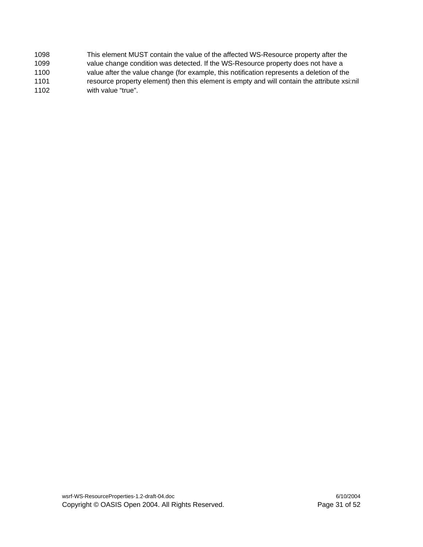1098 This element MUST contain the value of the affected WS-Resource property after the 1099 value change condition was detected. If the WS-Resource property does not have a 1100 value after the value change (for example, this notification represents a deletion of the 1101 resource property element) then this element is empty and will contain the attribute xsi:nil 1102 with value "true".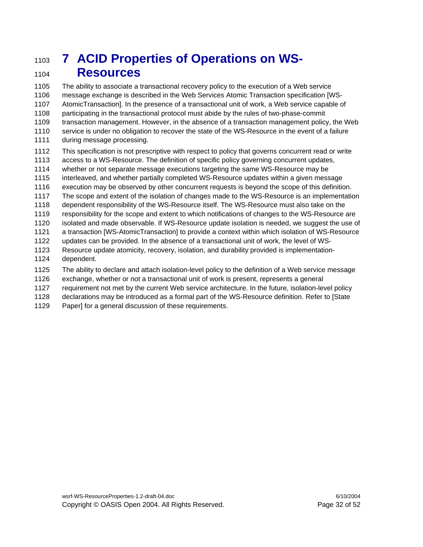### 1103 **7 ACID Properties of Operations on WS-**<sup>1104</sup>**Resources**

1105 The ability to associate a transactional recovery policy to the execution of a Web service 1106 message exchange is described in the Web Services Atomic Transaction specification [WS-1107 AtomicTransaction]. In the presence of a transactional unit of work, a Web service capable of 1108 participating in the transactional protocol must abide by the rules of two-phase-commit 1109 transaction management. However, in the absence of a transaction management policy, the Web 1110 service is under no obligation to recover the state of the WS-Resource in the event of a failure 1111 during message processing.

1112 This specification is not prescriptive with respect to policy that governs concurrent read or write 1113 access to a WS-Resource. The definition of specific policy governing concurrent updates, 1114 whether or not separate message executions targeting the same WS-Resource may be 1115 interleaved, and whether partially completed WS-Resource updates within a given message 1116 execution may be observed by other concurrent requests is beyond the scope of this definition. 1117 The scope and extent of the isolation of changes made to the WS-Resource is an implementation 1118 dependent responsibility of the WS-Resource itself. The WS-Resource must also take on the 1119 responsibility for the scope and extent to which notifications of changes to the WS-Resource are 1120 isolated and made observable. If WS-Resource update isolation is needed, we suggest the use of 1121 a transaction [WS-AtomicTransaction] to provide a context within which isolation of WS-Resource 1122 updates can be provided. In the absence of a transactional unit of work, the level of WS-1123 Resource update atomicity, recovery, isolation, and durability provided is implementation-1124 dependent. 1125 The ability to declare and attach isolation-level policy to the definition of a Web service message 1126 exchange, whether or not a transactional unit of work is present, represents a general 1127 requirement not met by the current Web service architecture. In the future, isolation-level policy

1128 declarations may be introduced as a formal part of the WS-Resource definition. Refer to [State

1129 Paper] for a general discussion of these requirements.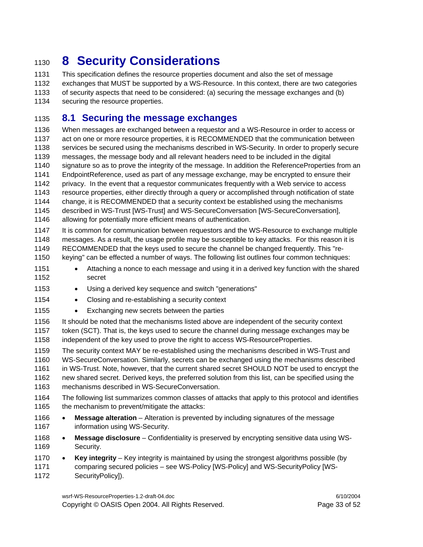# <sup>1130</sup>**8 Security Considerations**

1131 This specification defines the resource properties document and also the set of message 1132 exchanges that MUST be supported by a WS-Resource. In this context, there are two categories 1133 of security aspects that need to be considered: (a) securing the message exchanges and (b) 1134 securing the resource properties.

#### 1135 **8.1 Securing the message exchanges**

1136 When messages are exchanged between a requestor and a WS-Resource in order to access or 1137 act on one or more resource properties, it is RECOMMENDED that the communication between 1138 services be secured using the mechanisms described in WS-Security. In order to properly secure 1139 messages, the message body and all relevant headers need to be included in the digital 1140 signature so as to prove the integrity of the message. In addition the ReferenceProperties from an 1141 EndpointReference, used as part of any message exchange, may be encrypted to ensure their 1142 privacy. In the event that a requestor communicates frequently with a Web service to access 1143 resource properties, either directly through a query or accomplished through notification of state 1144 change, it is RECOMMENDED that a security context be established using the mechanisms 1145 described in WS-Trust [WS-Trust] and WS-SecureConversation [WS-SecureConversation], 1146 allowing for potentially more efficient means of authentication.

1147 It is common for communication between requestors and the WS-Resource to exchange multiple 1148 messages. As a result, the usage profile may be susceptible to key attacks. For this reason it is 1149 RECOMMENDED that the keys used to secure the channel be changed frequently. This "re-1150 keying" can be effected a number of ways. The following list outlines four common techniques:

- 1151 Attaching a nonce to each message and using it in a derived key function with the shared 1152 secret
- 1153 Using a derived key sequence and switch "generations"
- 1154 Closing and re-establishing a security context
- 1155 Exchanging new secrets between the parties
- 1156 It should be noted that the mechanisms listed above are independent of the security context 1157 token (SCT). That is, the keys used to secure the channel during message exchanges may be 1158 independent of the key used to prove the right to access WS-ResourceProperties.
- 1159 The security context MAY be re-established using the mechanisms described in WS-Trust and 1160 WS-SecureConversation. Similarly, secrets can be exchanged using the mechanisms described 1161 in WS-Trust. Note, however, that the current shared secret SHOULD NOT be used to encrypt the 1162 new shared secret. Derived keys, the preferred solution from this list, can be specified using the 1163 mechanisms described in WS-SecureConversation.
- 1164 The following list summarizes common classes of attacks that apply to this protocol and identifies 1165 the mechanism to prevent/mitigate the attacks:
- 1166 **Message alteration**  Alteration is prevented by including signatures of the message 1167 **information using WS-Security.**
- 1168 **Message disclosure**  Confidentiality is preserved by encrypting sensitive data using WS-1169 Security.
- 1170 **Key integrity**  Key integrity is maintained by using the strongest algorithms possible (by 1171 comparing secured policies – see WS-Policy [WS-Policy] and WS-SecurityPolicy [WS-1172 SecurityPolicy]).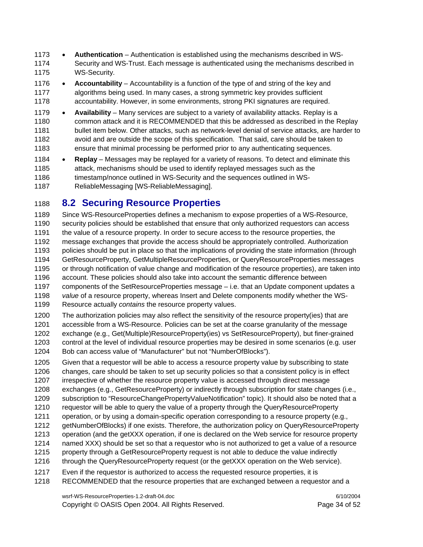- 1173 **Authentication** Authentication is established using the mechanisms described in WS-1174 Security and WS-Trust. Each message is authenticated using the mechanisms described in 1175 WS-Security.
- 1176 **Accountability** Accountability is a function of the type of and string of the key and 1177 algorithms being used. In many cases, a strong symmetric key provides sufficient 1178 accountability. However, in some environments, strong PKI signatures are required.
- 1179 **Availability** Many services are subject to a variety of availability attacks. Replay is a 1180 common attack and it is RECOMMENDED that this be addressed as described in the Replay 1181 bullet item below. Other attacks, such as network-level denial of service attacks, are harder to 1182 avoid and are outside the scope of this specification. That said, care should be taken to 1183 ensure that minimal processing be performed prior to any authenticating sequences.
- 1184 **Replay** Messages may be replayed for a variety of reasons. To detect and eliminate this 1185 attack, mechanisms should be used to identify replayed messages such as the 1186 timestamp/nonce outlined in WS-Security and the sequences outlined in WS-1187 ReliableMessaging [WS-ReliableMessaging].

### 1188 **8.2 Securing Resource Properties**

1189 Since WS-ResourceProperties defines a mechanism to expose properties of a WS-Resource, 1190 security policies should be established that ensure that only authorized requestors can access 1191 the value of a resource property. In order to secure access to the resource properties, the 1192 message exchanges that provide the access should be appropriately controlled. Authorization 1193 policies should be put in place so that the implications of providing the state information (through 1194 GetResourceProperty, GetMultipleResourceProperties, or QueryResourceProperties messages 1195 or through notification of value change and modification of the resource properties), are taken into 1196 account. These policies should also take into account the semantic difference between 1197 components of the SetResourceProperties message – i.e. that an Update component updates a 1198 *value* of a resource property, whereas Insert and Delete components modify whether the WS-1199 Resource actually *contains* the resource property values.

1200 The authorization policies may also reflect the sensitivity of the resource property(ies) that are 1201 accessible from a WS-Resource. Policies can be set at the coarse granularity of the message 1202 exchange (e.g., Get(Multiple)ResourceProperty(ies) vs SetResourceProperty), but finer-grained 1203 control at the level of individual resource properties may be desired in some scenarios (e.g. user 1204 Bob can access value of "Manufacturer" but not "NumberOfBlocks").

1205 Given that a requestor will be able to access a resource property value by subscribing to state 1206 changes, care should be taken to set up security policies so that a consistent policy is in effect 1207 irrespective of whether the resource property value is accessed through direct message 1208 exchanges (e.g., GetResourceProperty) or indirectly through subscription for state changes (i.e.,

- 1209 subscription to "ResourceChangePropertyValueNotification" topic). It should also be noted that a
- 1210 requestor will be able to query the value of a property through the QueryResourceProperty
- 1211 operation, or by using a domain-specific operation corresponding to a resource property (e.g.,
- 1212 getNumberOfBlocks) if one exists. Therefore, the authorization policy on QueryResourceProperty
- 1213 operation (and the getXXX operation, if one is declared on the Web service for resource property
- 1214 named XXX) should be set so that a requestor who is not authorized to get a value of a resource
- 1215 property through a GetResourceProperty request is not able to deduce the value indirectly
- 1216 through the QueryResourceProperty request (or the getXXX operation on the Web service).
- 1217 Even if the requestor is authorized to access the requested resource properties, it is
- 1218 RECOMMENDED that the resource properties that are exchanged between a requestor and a

wsrf-WS-ResourceProperties-1.2-draft-04.doc 6/10/2004 Copyright © OASIS Open 2004. All Rights Reserved. Page 34 of 52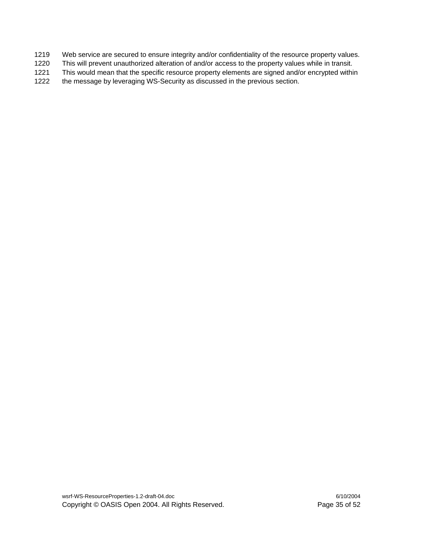- 1219 Web service are secured to ensure integrity and/or confidentiality of the resource property values.
- 1220 This will prevent unauthorized alteration of and/or access to the property values while in transit.
- 1221 This would mean that the specific resource property elements are signed and/or encrypted within
- 1222 the message by leveraging WS-Security as discussed in the previous section.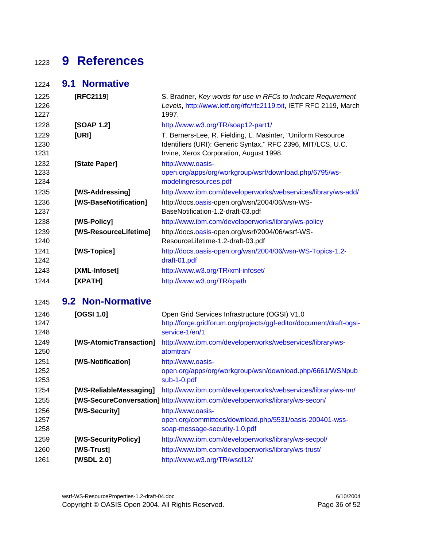# **9 References**

#### **9.1 Normative**

| 1225       | [RFC2119]             | S. Bradner, Key words for use in RFCs to Indicate Requirement     |
|------------|-----------------------|-------------------------------------------------------------------|
| 1226       |                       | Levels, http://www.ietf.org/rfc/rfc2119.txt, IETF RFC 2119, March |
| 1227       |                       | 1997.                                                             |
| 1228       | [SOAP 1.2]            | http://www.w3.org/TR/soap12-part1/                                |
| 1229       | [URI]                 | T. Berners-Lee, R. Fielding, L. Masinter, "Uniform Resource       |
| 1230       |                       | Identifiers (URI): Generic Syntax," RFC 2396, MIT/LCS, U.C.       |
| 1231       |                       | Irvine, Xerox Corporation, August 1998.                           |
| 1232       | [State Paper]         | http://www.oasis-                                                 |
| 1233       |                       | open.org/apps/org/workgroup/wsrf/download.php/6795/ws-            |
| 1234       |                       | modelingresources.pdf                                             |
| 1235       | [WS-Addressing]       | http://www.ibm.com/developerworks/webservices/library/ws-add/     |
| 1236       | [WS-BaseNotification] | http://docs.oasis-open.org/wsn/2004/06/wsn-WS-                    |
| 1237       |                       | BaseNotification-1.2-draft-03.pdf                                 |
| 1238       | [WS-Policy]           | http://www.ibm.com/developerworks/library/ws-policy               |
| 1239       | [WS-ResourceLifetime] | http://docs.oasis-open.org/wsrf/2004/06/wsrf-WS-                  |
| 1240       |                       | ResourceLifetime-1.2-draft-03.pdf                                 |
| 1241       | [WS-Topics]           | http://docs.oasis-open.org/wsn/2004/06/wsn-WS-Topics-1.2-         |
| 1242       |                       | draft-01.pdf                                                      |
| 1243       | [XML-Infoset]         | http://www.w3.org/TR/xml-infoset/                                 |
| 1244       | [XPATH]               | http://www.w3.org/TR/xpath                                        |
| $\sqrt{2}$ | 0.2 Non Normativo     |                                                                   |

#### **9.2 Non-Normative**

| 1246<br>1247<br>1248 | [OGSI $1.0$ ]          | Open Grid Services Infrastructure (OGSI) V1.0<br>http://forge.gridforum.org/projects/ggf-editor/document/draft-ogsi-<br>service-1/en/1 |
|----------------------|------------------------|----------------------------------------------------------------------------------------------------------------------------------------|
| 1249<br>1250         | [WS-AtomicTransaction] | http://www.ibm.com/developerworks/webservices/library/ws-<br>atomtran/                                                                 |
| 1251                 | [WS-Notification]      | http://www.oasis-                                                                                                                      |
| 1252                 |                        | open.org/apps/org/workgroup/wsn/download.php/6661/WSNpub                                                                               |
| 1253                 |                        | sub-1-0.pdf                                                                                                                            |
| 1254                 | [WS-ReliableMessaging] | http://www.ibm.com/developerworks/webservices/library/ws-rm/                                                                           |
| 1255                 |                        | [WS-SecureConversation] http://www.ibm.com/developerworks/library/ws-secon/                                                            |
| 1256                 | [WS-Security]          | http://www.oasis-                                                                                                                      |
| 1257                 |                        | open.org/committees/download.php/5531/oasis-200401-wss-                                                                                |
| 1258                 |                        | soap-message-security-1.0.pdf                                                                                                          |
| 1259                 | [WS-SecurityPolicy]    | http://www.ibm.com/developerworks/library/ws-secpol/                                                                                   |
| 1260                 | [WS-Trust]             | http://www.ibm.com/developerworks/library/ws-trust/                                                                                    |
| 1261                 | <b>[WSDL 2.0]</b>      | http://www.w3.org/TR/wsdl12/                                                                                                           |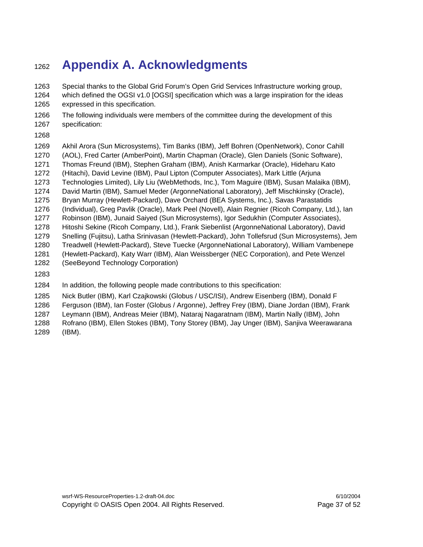# <sup>1262</sup>**Appendix A. Acknowledgments**

1263 Special thanks to the Global Grid Forum's Open Grid Services Infrastructure working group, 1264 which defined the OGSI v1.0 [OGSI] specification which was a large inspiration for the ideas 1265 expressed in this specification.

1266 The following individuals were members of the committee during the development of this 1267 specification:

1268

1269 Akhil Arora (Sun Microsystems), Tim Banks (IBM), Jeff Bohren (OpenNetwork), Conor Cahill 1270 (AOL), Fred Carter (AmberPoint), Martin Chapman (Oracle), Glen Daniels (Sonic Software), 1271 Thomas Freund (IBM), Stephen Graham (IBM), Anish Karmarkar (Oracle), Hideharu Kato 1272 (Hitachi), David Levine (IBM), Paul Lipton (Computer Associates), Mark Little (Arjuna 1273 Technologies Limited), Lily Liu (WebMethods, Inc.), Tom Maguire (IBM), Susan Malaika (IBM), 1274 David Martin (IBM), Samuel Meder (ArgonneNational Laboratory), Jeff Mischkinsky (Oracle), 1275 Bryan Murray (Hewlett-Packard), Dave Orchard (BEA Systems, Inc.), Savas Parastatidis 1276 (Individual), Greg Pavlik (Oracle), Mark Peel (Novell), Alain Regnier (Ricoh Company, Ltd.), Ian 1277 Robinson (IBM), Junaid Saiyed (Sun Microsystems), Igor Sedukhin (Computer Associates), 1278 Hitoshi Sekine (Ricoh Company, Ltd.), Frank Siebenlist (ArgonneNational Laboratory), David 1279 Snelling (Fujitsu), Latha Srinivasan (Hewlett-Packard), John Tollefsrud (Sun Microsystems), Jem 1280 Treadwell (Hewlett-Packard), Steve Tuecke (ArgonneNational Laboratory), William Vambenepe 1281 (Hewlett-Packard), Katy Warr (IBM), Alan Weissberger (NEC Corporation), and Pete Wenzel 1282 (SeeBeyond Technology Corporation)

1283

1284 In addition, the following people made contributions to this specification:

1285 Nick Butler (IBM), Karl Czajkowski (Globus / USC/ISI), Andrew Eisenberg (IBM), Donald F

1286 Ferguson (IBM), Ian Foster (Globus / Argonne), Jeffrey Frey (IBM), Diane Jordan (IBM), Frank

1287 Leymann (IBM), Andreas Meier (IBM), Nataraj Nagaratnam (IBM), Martin Nally (IBM), John

1288 Rofrano (IBM), Ellen Stokes (IBM), Tony Storey (IBM), Jay Unger (IBM), Sanjiva Weerawarana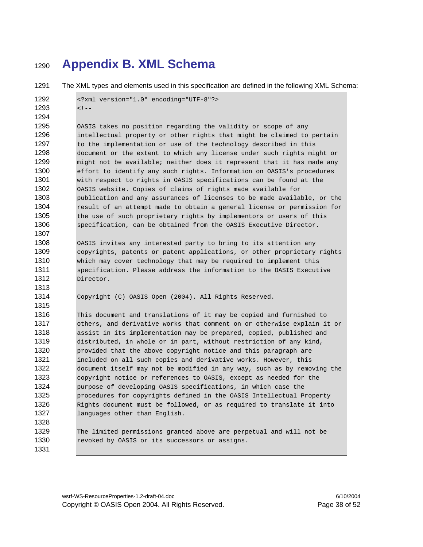### **Appendix B. XML Schema**

1291 The XML types and elements used in this specification are defined in the following XML Schema:

```
1292 <?xml version="1.0" encoding="UTF-8"?> 
1293 \leq 1 - (-1)1294 
1295 OASIS takes no position regarding the validity or scope of any 
1296 intellectual property or other rights that might be claimed to pertain 
1297 to the implementation or use of the technology described in this
1298 document or the extent to which any license under such rights might or
1299 might not be available; neither does it represent that it has made any 
1300 effort to identify any such rights. Information on OASIS's procedures
1301 with respect to rights in OASIS specifications can be found at the 
1302 OASIS website. Copies of claims of rights made available for 
1303 publication and any assurances of licenses to be made available, or the 
1304 result of an attempt made to obtain a general license or permission for
1305 the use of such proprietary rights by implementors or users of this 
1306 specification, can be obtained from the OASIS Executive Director. 
1307 
1308 OASIS invites any interested party to bring to its attention any 
1309 copyrights, patents or patent applications, or other proprietary rights
1310 which may cover technology that may be required to implement this
1311 specification. Please address the information to the OASIS Executive 
1312 Director. 
1313 
1314 Copyright (C) OASIS Open (2004). All Rights Reserved. 
1315 
1316 This document and translations of it may be copied and furnished to 
1317 others, and derivative works that comment on or otherwise explain it or 
1318 assist in its implementation may be prepared, copied, published and 
1319 distributed, in whole or in part, without restriction of any kind, 
1320 provided that the above copyright notice and this paragraph are
1321 included on all such copies and derivative works. However, this 
1322 document itself may not be modified in any way, such as by removing the 
1323 copyright notice or references to OASIS, except as needed for the 
1324 purpose of developing OASIS specifications, in which case the 
1325 procedures for copyrights defined in the OASIS Intellectual Property 
1326 Rights document must be followed, or as required to translate it into
1327 languages other than English.
1328 
1329 The limited permissions granted above are perpetual and will not be 
1330 revoked by OASIS or its successors or assigns.
1331
```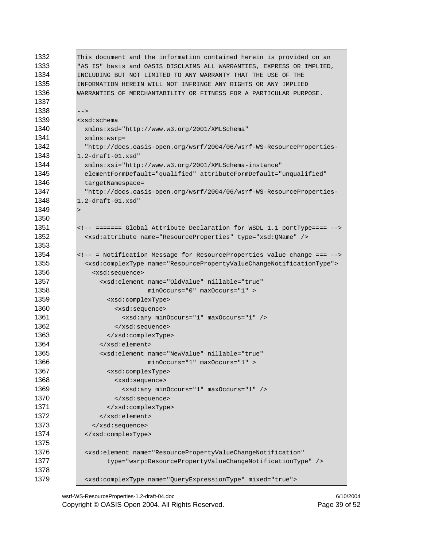| 1332 | This document and the information contained herein is provided on an                   |  |  |
|------|----------------------------------------------------------------------------------------|--|--|
| 1333 | "AS IS" basis and OASIS DISCLAIMS ALL WARRANTIES, EXPRESS OR IMPLIED,                  |  |  |
| 1334 | INCLUDING BUT NOT LIMITED TO ANY WARRANTY THAT THE USE OF THE                          |  |  |
| 1335 | INFORMATION HEREIN WILL NOT INFRINGE ANY RIGHTS OR ANY IMPLIED                         |  |  |
| 1336 | WARRANTIES OF MERCHANTABILITY OR FITNESS FOR A PARTICULAR PURPOSE.                     |  |  |
| 1337 |                                                                                        |  |  |
| 1338 | $--$                                                                                   |  |  |
| 1339 | <xsd:schema< td=""></xsd:schema<>                                                      |  |  |
| 1340 | xmlns:xsd="http://www.w3.org/2001/XMLSchema"                                           |  |  |
| 1341 | $xmlns:wsrp =$                                                                         |  |  |
| 1342 | "http://docs.oasis-open.org/wsrf/2004/06/wsrf-WS-ResourceProperties-                   |  |  |
| 1343 | $1.2$ -draft- $01.x$ sd"                                                               |  |  |
| 1344 | xmlns:xsi="http://www.w3.org/2001/XMLSchema-instance"                                  |  |  |
| 1345 | elementFormDefault="qualified" attributeFormDefault="unqualified"                      |  |  |
| 1346 | targetNamespace=                                                                       |  |  |
| 1347 | "http://docs.oasis-open.org/wsrf/2004/06/wsrf-WS-ResourceProperties-                   |  |  |
| 1348 | $1.2$ -draft- $01.x$ sd"                                                               |  |  |
| 1349 | $\geq$                                                                                 |  |  |
| 1350 |                                                                                        |  |  |
| 1351 | ======= Global Attribute Declaration for WSDL 1.1 portType====                         |  |  |
| 1352 | <xsd:attribute name="ResourceProperties" type="xsd:QName"></xsd:attribute>             |  |  |
| 1353 |                                                                                        |  |  |
| 1354 | = Notification Message for ResourceProperties value change ===                         |  |  |
| 1355 | <xsd:complextype name="ResourcePropertyValueChangeNotificationType"></xsd:complextype> |  |  |
| 1356 | <xsd:sequence></xsd:sequence>                                                          |  |  |
| 1357 | <xsd:element <="" name="OldValue" nillable="true" td=""></xsd:element>                 |  |  |
| 1358 | $minOccurs="0" maxOccurs="1"$                                                          |  |  |
| 1359 | <xsd:complextype></xsd:complextype>                                                    |  |  |
| 1360 | <xsd:sequence></xsd:sequence>                                                          |  |  |
| 1361 | <xsd:any maxoccurs="1" minoccurs="1"></xsd:any>                                        |  |  |
| 1362 |                                                                                        |  |  |
| 1363 |                                                                                        |  |  |
| 1364 |                                                                                        |  |  |
| 1365 | <xsd:element <="" name="NewValue" nillable="true" td=""></xsd:element>                 |  |  |
| 1366 | minOccurs="1" maxOccurs="1" >                                                          |  |  |
| 1367 | <xsd:complextype></xsd:complextype>                                                    |  |  |
| 1368 | <xsd:sequence></xsd:sequence>                                                          |  |  |
| 1369 | <xsd:any maxoccurs="1" minoccurs="1"></xsd:any>                                        |  |  |
| 1370 |                                                                                        |  |  |
| 1371 |                                                                                        |  |  |
| 1372 |                                                                                        |  |  |
| 1373 |                                                                                        |  |  |
| 1374 |                                                                                        |  |  |
| 1375 |                                                                                        |  |  |
| 1376 | <xsd:element <="" name="ResourcePropertyValueChangeNotification" td=""></xsd:element>  |  |  |
| 1377 | type="wsrp:ResourcePropertyValueChangeNotificationType" />                             |  |  |
| 1378 |                                                                                        |  |  |
| 1379 | <xsd:complextype mixed="true" name="QueryExpressionType"></xsd:complextype>            |  |  |
|      |                                                                                        |  |  |

wsrf-WS-ResourceProperties-1.2-draft-04.doc 6/10/2004 Copyright © OASIS Open 2004. All Rights Reserved. Page 39 of 52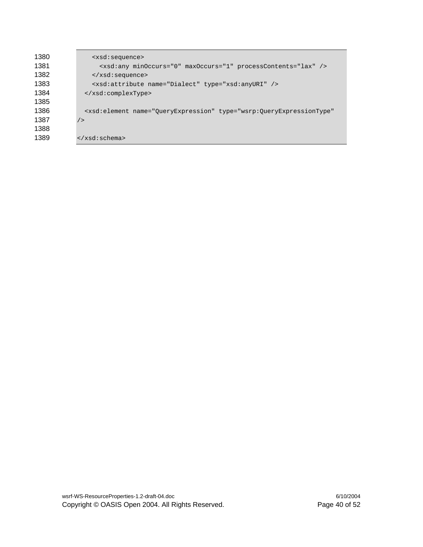| 1380 | <xsd:sequence></xsd:sequence>                                                                 |  |  |
|------|-----------------------------------------------------------------------------------------------|--|--|
| 1381 | <xsd:any maxoccurs="1" minoccurs="0" processcontents="lax"></xsd:any>                         |  |  |
| 1382 | $\langle xsd:sequence \rangle$                                                                |  |  |
| 1383 | <xsd:attribute name="Dialect" type="xsd:anyURI"></xsd:attribute>                              |  |  |
| 1384 |                                                                                               |  |  |
| 1385 |                                                                                               |  |  |
| 1386 | <xsd:element <="" name="QueryExpression" td="" type="wsrp:QueryExpressionType"></xsd:element> |  |  |
| 1387 | /                                                                                             |  |  |
| 1388 |                                                                                               |  |  |
| 1389 | $\langle xsd:schema \rangle$                                                                  |  |  |
|      |                                                                                               |  |  |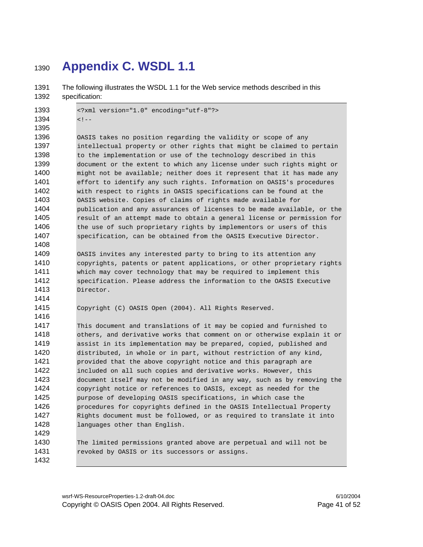### **Appendix C. WSDL 1.1**

1391 The following illustrates the WSDL 1.1 for the Web service methods described in this 1392 specification: <?xml version="1.0" encoding="utf-8"?>  $\leq 1 - (-)$  OASIS takes no position regarding the validity or scope of any 1397 intellectual property or other rights that might be claimed to pertain 1398 to the implementation or use of the technology described in this 1399 document or the extent to which any license under such rights might or might not be available; neither does it represent that it has made any effort to identify any such rights. Information on OASIS's procedures with respect to rights in OASIS specifications can be found at the OASIS website. Copies of claims of rights made available for publication and any assurances of licenses to be made available, or the result of an attempt made to obtain a general license or permission for 1406 the use of such proprietary rights by implementors or users of this specification, can be obtained from the OASIS Executive Director. OASIS invites any interested party to bring to its attention any 1410 copyrights, patents or patent applications, or other proprietary rights which may cover technology that may be required to implement this specification. Please address the information to the OASIS Executive Director. Copyright (C) OASIS Open (2004). All Rights Reserved. This document and translations of it may be copied and furnished to others, and derivative works that comment on or otherwise explain it or assist in its implementation may be prepared, copied, published and distributed, in whole or in part, without restriction of any kind, provided that the above copyright notice and this paragraph are included on all such copies and derivative works. However, this document itself may not be modified in any way, such as by removing the copyright notice or references to OASIS, except as needed for the purpose of developing OASIS specifications, in which case the **procedures for copyrights defined in the OASIS Intellectual Property** Rights document must be followed, or as required to translate it into 1428 languages other than English. The limited permissions granted above are perpetual and will not be 1431 revoked by OASIS or its successors or assigns.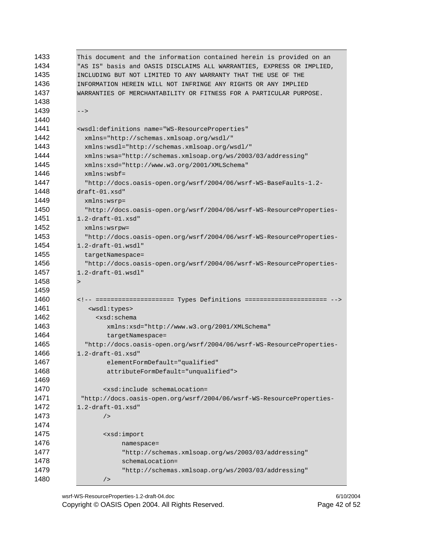| 1433 | This document and the information contained herein is provided on an          |  |  |
|------|-------------------------------------------------------------------------------|--|--|
| 1434 | "AS IS" basis and OASIS DISCLAIMS ALL WARRANTIES, EXPRESS OR IMPLIED,         |  |  |
| 1435 | INCLUDING BUT NOT LIMITED TO ANY WARRANTY THAT THE USE OF THE                 |  |  |
| 1436 | INFORMATION HEREIN WILL NOT INFRINGE ANY RIGHTS OR ANY IMPLIED                |  |  |
| 1437 | WARRANTIES OF MERCHANTABILITY OR FITNESS FOR A PARTICULAR PURPOSE.            |  |  |
| 1438 |                                                                               |  |  |
| 1439 | $--$                                                                          |  |  |
| 1440 |                                                                               |  |  |
| 1441 | <wsdl:definitions <="" name="WS-ResourceProperties" th=""></wsdl:definitions> |  |  |
| 1442 | xmlns="http://schemas.xmlsoap.org/wsdl/"                                      |  |  |
| 1443 | xmlns:wsdl="http://schemas.xmlsoap.org/wsdl/"                                 |  |  |
| 1444 | xmlns:wsa="http://schemas.xmlsoap.org/ws/2003/03/addressing"                  |  |  |
| 1445 | xmlns:xsd="http://www.w3.org/2001/XMLSchema"                                  |  |  |
| 1446 | $xmlns:wsbf =$                                                                |  |  |
| 1447 | "http://docs.oasis-open.org/wsrf/2004/06/wsrf-WS-BaseFaults-1.2-              |  |  |
| 1448 | $draff-01.xsd"$                                                               |  |  |
| 1449 | $xmlns:wsrp =$                                                                |  |  |
| 1450 | "http://docs.oasis-open.org/wsrf/2004/06/wsrf-WS-ResourceProperties-          |  |  |
| 1451 | $1.2$ -draft- $01.x$ sd"                                                      |  |  |
| 1452 | $xmlns:wsrow =$                                                               |  |  |
| 1453 | "http://docs.oasis-open.org/wsrf/2004/06/wsrf-WS-ResourceProperties-          |  |  |
| 1454 | $1.2$ -draft-01.wsdl"                                                         |  |  |
| 1455 | targetNamespace=                                                              |  |  |
| 1456 | "http://docs.oasis-open.org/wsrf/2004/06/wsrf-WS-ResourceProperties-          |  |  |
| 1457 | $1.2$ -draft-01.wsdl"                                                         |  |  |
| 1458 | $\geq$                                                                        |  |  |
| 1459 |                                                                               |  |  |
| 1460 | ===================== Types Definitions =====================                 |  |  |
| 1461 | <wsdl:types></wsdl:types>                                                     |  |  |
| 1462 | <xsd:schema< th=""></xsd:schema<>                                             |  |  |
| 1463 | xmlns:xsd="http://www.w3.org/2001/XMLSchema"                                  |  |  |
| 1464 | targetNamespace=                                                              |  |  |
| 1465 | "http://docs.oasis-open.org/wsrf/2004/06/wsrf-WS-ResourceProperties-          |  |  |
| 1466 | $1.2$ -draft- $01.x$ sd"                                                      |  |  |
| 1467 | elementFormDefault="qualified"                                                |  |  |
| 1468 | attributeFormDefault="unqualified">                                           |  |  |
| 1469 |                                                                               |  |  |
| 1470 | <xsd:include schemalocation="&lt;/th"></xsd:include>                          |  |  |
| 1471 | "http://docs.oasis-open.org/wsrf/2004/06/wsrf-WS-ResourceProperties-          |  |  |
| 1472 | $1.2$ -draft- $01.xsd$ "                                                      |  |  |
| 1473 | /                                                                             |  |  |
| 1474 |                                                                               |  |  |
| 1475 | <xsd:import< th=""></xsd:import<>                                             |  |  |
| 1476 | namespace=                                                                    |  |  |
| 1477 | "http://schemas.xmlsoap.org/ws/2003/03/addressing"                            |  |  |
| 1478 | schemaLocation=                                                               |  |  |
| 1479 | "http://schemas.xmlsoap.org/ws/2003/03/addressing"                            |  |  |
| 1480 | /                                                                             |  |  |

wsrf-WS-ResourceProperties-1.2-draft-04.doc 6/10/2004 Copyright © OASIS Open 2004. All Rights Reserved. Page 42 of 52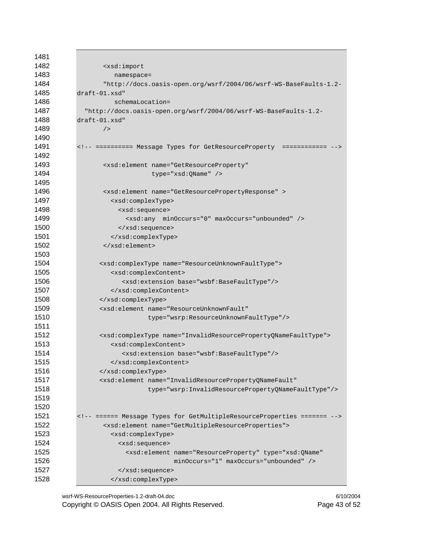| 1481 |                                                                                  |  |  |
|------|----------------------------------------------------------------------------------|--|--|
| 1482 | <xsd:import< td=""></xsd:import<>                                                |  |  |
| 1483 | namespace=                                                                       |  |  |
| 1484 | "http://docs.oasis-open.org/wsrf/2004/06/wsrf-WS-BaseFaults-1.2-                 |  |  |
| 1485 | $draff-01.xsd"$                                                                  |  |  |
| 1486 | schemaLocation=                                                                  |  |  |
| 1487 | "http://docs.oasis-open.org/wsrf/2004/06/wsrf-WS-BaseFaults-1.2-                 |  |  |
| 1488 | $draff-01.xsd"$                                                                  |  |  |
| 1489 | /                                                                                |  |  |
| 1490 |                                                                                  |  |  |
| 1491 | ========== Message Types for GetResourceProperty ============                    |  |  |
| 1492 |                                                                                  |  |  |
| 1493 | <xsd:element <="" name="GetResourceProperty" td=""></xsd:element>                |  |  |
| 1494 | type="xsd:QName" />                                                              |  |  |
| 1495 |                                                                                  |  |  |
| 1496 | <xsd:element name="GetResourcePropertyResponse"></xsd:element>                   |  |  |
| 1497 | <xsd:complextype></xsd:complextype>                                              |  |  |
| 1498 | <xsd:sequence></xsd:sequence>                                                    |  |  |
| 1499 | <xsd:any maxoccurs="unbounded" minoccurs="0"></xsd:any>                          |  |  |
| 1500 |                                                                                  |  |  |
| 1501 |                                                                                  |  |  |
| 1502 |                                                                                  |  |  |
| 1503 |                                                                                  |  |  |
| 1504 | <xsd:complextype name="ResourceUnknownFaultType"></xsd:complextype>              |  |  |
| 1505 | <xsd:complexcontent></xsd:complexcontent>                                        |  |  |
| 1506 | <xsd:extension base="wsbf:BaseFaultType"></xsd:extension>                        |  |  |
| 1507 |                                                                                  |  |  |
| 1508 |                                                                                  |  |  |
| 1509 | <xsd:element <="" name="ResourceUnknownFault" td=""></xsd:element>               |  |  |
| 1510 | type="wsrp:ResourceUnknownFaultType"/>                                           |  |  |
| 1511 |                                                                                  |  |  |
| 1512 | <xsd:complextype name="InvalidResourcePropertyQNameFaultType"></xsd:complextype> |  |  |
| 1513 | <xsd:complexcontent></xsd:complexcontent>                                        |  |  |
| 1514 | <xsd:extension base="wsbf:BaseFaultType"></xsd:extension>                        |  |  |
| 1515 |                                                                                  |  |  |
| 1516 |                                                                                  |  |  |
| 1517 | <xsd:element <="" name="InvalidResourcePropertyQNameFault" td=""></xsd:element>  |  |  |
| 1518 | type="wsrp:InvalidResourcePropertyQNameFaultType"/>                              |  |  |
| 1519 |                                                                                  |  |  |
| 1520 |                                                                                  |  |  |
| 1521 | ====== Message Types for GetMultipleResourceProperties =======                   |  |  |
| 1522 | <xsd:element name="GetMultipleResourceProperties"></xsd:element>                 |  |  |
| 1523 | <xsd:complextype></xsd:complextype>                                              |  |  |
| 1524 | <xsd:sequence></xsd:sequence>                                                    |  |  |
| 1525 | <xsd:element <="" name="ResourceProperty" td="" type="xsd:QName"></xsd:element>  |  |  |
| 1526 | minOccurs="1" maxOccurs="unbounded" />                                           |  |  |
| 1527 |                                                                                  |  |  |
| 1528 |                                                                                  |  |  |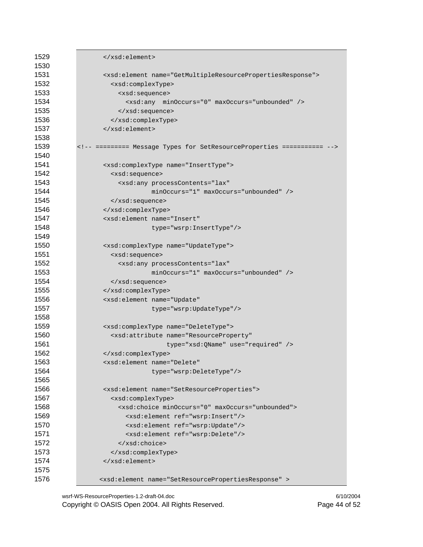| 1529<br>1530 |                                                                          |  |  |
|--------------|--------------------------------------------------------------------------|--|--|
| 1531         |                                                                          |  |  |
| 1532         | <xsd:element name="GetMultipleResourcePropertiesResponse"></xsd:element> |  |  |
| 1533         | <xsd:complextype><br/><xsd:sequence></xsd:sequence></xsd:complextype>    |  |  |
| 1534         | <xsd:any maxoccurs="unbounded" minoccurs="0"></xsd:any>                  |  |  |
| 1535         |                                                                          |  |  |
| 1536         |                                                                          |  |  |
| 1537         |                                                                          |  |  |
| 1538         |                                                                          |  |  |
| 1539         | ========= Message Types for SetResourceProperties ===========            |  |  |
| 1540         |                                                                          |  |  |
| 1541         | <xsd:complextype name="InsertType"></xsd:complextype>                    |  |  |
| 1542         | <xsd:sequence></xsd:sequence>                                            |  |  |
| 1543         | <xsd:any <="" processcontents="lax" td=""></xsd:any>                     |  |  |
| 1544         | $minOccurs = "1" maxOccurs = "unbounded"$                                |  |  |
| 1545         | $\langle xsd:sequence \rangle$                                           |  |  |
| 1546         |                                                                          |  |  |
| 1547         | <xsd:element <="" name="Insert" td=""></xsd:element>                     |  |  |
| 1548         | type="wsrp:InsertType"/>                                                 |  |  |
| 1549         |                                                                          |  |  |
| 1550         | <xsd:complextype name="UpdateType"></xsd:complextype>                    |  |  |
| 1551         | <xsd:sequence></xsd:sequence>                                            |  |  |
| 1552         | <xsd:any <="" processcontents="lax" td=""></xsd:any>                     |  |  |
| 1553         | $minOccurs = "1" maxOccurs = "unbounded"$                                |  |  |
| 1554         | $\langle xsd:sequence \rangle$                                           |  |  |
| 1555         |                                                                          |  |  |
| 1556         | <xsd:element <="" name="Update" td=""></xsd:element>                     |  |  |
| 1557         | type="wsrp:UpdateType"/>                                                 |  |  |
| 1558         |                                                                          |  |  |
| 1559         | <xsd:complextype name="DeleteType"></xsd:complextype>                    |  |  |
| 1560         | <xsd:attribute <="" name="ResourceProperty" td=""></xsd:attribute>       |  |  |
| 1561         | type="xsd:QName" use="required" />                                       |  |  |
| 1562         |                                                                          |  |  |
| 1563         | <xsd:element <="" name="Delete" td=""></xsd:element>                     |  |  |
| 1564         | type="wsrp:DeleteType"/>                                                 |  |  |
| 1565         |                                                                          |  |  |
| 1566         | <xsd:element name="SetResourceProperties"></xsd:element>                 |  |  |
| 1567         | <xsd:complextype></xsd:complextype>                                      |  |  |
| 1568         | <xsd:choice maxoccurs="unbounded" minoccurs="0"></xsd:choice>            |  |  |
| 1569         | <xsd:element ref="wsrp:Insert"></xsd:element>                            |  |  |
| 1570         | <xsd:element ref="wsrp:Update"></xsd:element>                            |  |  |
| 1571         | <xsd:element ref="wsrp:Delete"></xsd:element>                            |  |  |
| 1572         |                                                                          |  |  |
| 1573         |                                                                          |  |  |
| 1574         | $\langle xsd:element\rangle$                                             |  |  |
| 1575         |                                                                          |  |  |
| 1576         | <xsd:element name="SetResourcePropertiesResponse"></xsd:element>         |  |  |

wsrf-WS-ResourceProperties-1.2-draft-04.doc 6/10/2004 Copyright © OASIS Open 2004. All Rights Reserved. Page 44 of 52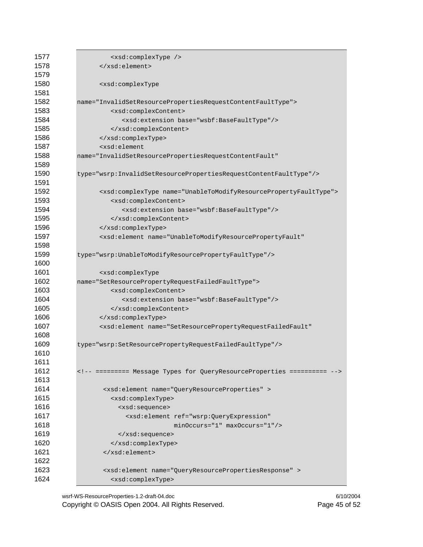| 1577 | <xsd:complextype></xsd:complextype>                                                 |  |  |
|------|-------------------------------------------------------------------------------------|--|--|
| 1578 |                                                                                     |  |  |
| 1579 |                                                                                     |  |  |
| 1580 | <xsd:complextype< td=""></xsd:complextype<>                                         |  |  |
| 1581 |                                                                                     |  |  |
| 1582 | name="InvalidSetResourcePropertiesRequestContentFaultType">                         |  |  |
| 1583 | <xsd:complexcontent></xsd:complexcontent>                                           |  |  |
| 1584 | <xsd:extension base="wsbf:BaseFaultType"></xsd:extension>                           |  |  |
| 1585 |                                                                                     |  |  |
| 1586 |                                                                                     |  |  |
| 1587 | <xsd:element< td=""></xsd:element<>                                                 |  |  |
| 1588 | name="InvalidSetResourcePropertiesRequestContentFault"                              |  |  |
| 1589 |                                                                                     |  |  |
| 1590 | type="wsrp:InvalidSetResourcePropertiesRequestContentFaultType" />                  |  |  |
| 1591 |                                                                                     |  |  |
| 1592 | <xsd:complextype name="UnableToModifyResourcePropertyFaultType"></xsd:complextype>  |  |  |
| 1593 | <xsd:complexcontent></xsd:complexcontent>                                           |  |  |
| 1594 | <xsd:extension base="wsbf:BaseFaultType"></xsd:extension>                           |  |  |
| 1595 |                                                                                     |  |  |
| 1596 |                                                                                     |  |  |
| 1597 | <xsd:element <="" name="UnableToModifyResourcePropertyFault" td=""></xsd:element>   |  |  |
| 1598 |                                                                                     |  |  |
| 1599 | type="wsrp:UnableToModifyResourcePropertyFaultType"/>                               |  |  |
| 1600 |                                                                                     |  |  |
| 1601 | <xsd:complextype< td=""></xsd:complextype<>                                         |  |  |
| 1602 | name="SetResourcePropertyRequestFailedFaultType">                                   |  |  |
| 1603 | <xsd:complexcontent></xsd:complexcontent>                                           |  |  |
| 1604 | <xsd:extension base="wsbf:BaseFaultType"></xsd:extension>                           |  |  |
| 1605 |                                                                                     |  |  |
| 1606 |                                                                                     |  |  |
| 1607 | <xsd:element <="" name="SetResourcePropertyRequestFailedFault" td=""></xsd:element> |  |  |
| 1608 |                                                                                     |  |  |
| 1609 | type="wsrp:SetResourcePropertyRequestFailedFaultType"/>                             |  |  |
| 1610 |                                                                                     |  |  |
| 1611 |                                                                                     |  |  |
| 1612 | ========= Message Types for QueryResourceProperties ==========                      |  |  |
| 1613 |                                                                                     |  |  |
| 1614 | <xsd:element name="QueryResourceProperties"></xsd:element>                          |  |  |
| 1615 | <xsd:complextype></xsd:complextype>                                                 |  |  |
| 1616 | <xsd:sequence></xsd:sequence>                                                       |  |  |
| 1617 | <xsd:element <="" ref="wsrp:QueryExpression" td=""></xsd:element>                   |  |  |
| 1618 | minOccurs="1" maxOccurs="1"/>                                                       |  |  |
| 1619 |                                                                                     |  |  |
| 1620 |                                                                                     |  |  |
| 1621 |                                                                                     |  |  |
| 1622 |                                                                                     |  |  |
| 1623 | <xsd:element name="QueryResourcePropertiesResponse"></xsd:element>                  |  |  |
| 1624 | <xsd:complextype></xsd:complextype>                                                 |  |  |

wsrf-WS-ResourceProperties-1.2-draft-04.doc 6/10/2004 Copyright © OASIS Open 2004. All Rights Reserved. Page 45 of 52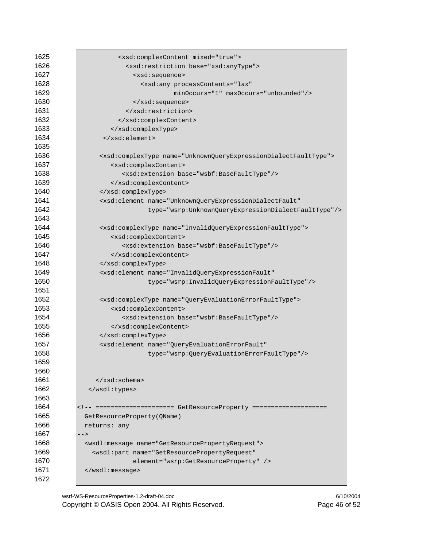| 1625 | <xsd:complexcontent mixed="true"></xsd:complexcontent>                            |
|------|-----------------------------------------------------------------------------------|
| 1626 | <xsd:restriction base="xsd:anyType"></xsd:restriction>                            |
| 1627 | <xsd:sequence></xsd:sequence>                                                     |
| 1628 | <xsd:any <="" processcontents="lax" td=""></xsd:any>                              |
| 1629 | minOccurs="1" maxOccurs="unbounded"/>                                             |
| 1630 |                                                                                   |
| 1631 |                                                                                   |
| 1632 |                                                                                   |
| 1633 |                                                                                   |
| 1634 | $\langle xsd:element\rangle$                                                      |
| 1635 |                                                                                   |
| 1636 | <xsd:complextype name="UnknownQueryExpressionDialectFaultType"></xsd:complextype> |
| 1637 | <xsd:complexcontent></xsd:complexcontent>                                         |
| 1638 | <xsd:extension base="wsbf:BaseFaultType"></xsd:extension>                         |
| 1639 |                                                                                   |
| 1640 |                                                                                   |
| 1641 | <xsd:element <="" name="UnknownQueryExpressionDialectFault" td=""></xsd:element>  |
| 1642 | type="wsrp:UnknownQueryExpressionDialectFaultType"/>                              |
| 1643 |                                                                                   |
| 1644 | <xsd:complextype name="InvalidQueryExpressionFaultType"></xsd:complextype>        |
| 1645 | <xsd:complexcontent></xsd:complexcontent>                                         |
| 1646 | <xsd:extension base="wsbf:BaseFaultType"></xsd:extension>                         |
| 1647 |                                                                                   |
| 1648 |                                                                                   |
| 1649 | <xsd:element <="" name="InvalidQueryExpressionFault" td=""></xsd:element>         |
| 1650 | type="wsrp:InvalidQueryExpressionFaultType"/>                                     |
| 1651 |                                                                                   |
| 1652 | <xsd:complextype name="QueryEvaluationErrorFaultType"></xsd:complextype>          |
| 1653 | <xsd:complexcontent></xsd:complexcontent>                                         |
| 1654 | <xsd:extension base="wsbf:BaseFaultType"></xsd:extension>                         |
| 1655 |                                                                                   |
| 1656 |                                                                                   |
| 1657 | <xsd:element <="" name="QueryEvaluationErrorFault" td=""></xsd:element>           |
| 1658 | type="wsrp:QueryEvaluationErrorFaultType"/>                                       |
| 1659 |                                                                                   |
| 1660 |                                                                                   |
| 1661 | $\langle xsd:schema \rangle$                                                      |
| 1662 |                                                                                   |
| 1663 |                                                                                   |
| 1664 |                                                                                   |
| 1665 | GetResourceProperty(QName)                                                        |
| 1666 | returns: any                                                                      |
| 1667 | $--$                                                                              |
| 1668 | <wsdl:message name="GetResourcePropertyRequest"></wsdl:message>                   |
| 1669 | <wsdl:part <="" name="GetResourcePropertyRequest" td=""></wsdl:part>              |
| 1670 | element="wsrp:GetResourceProperty" />                                             |
| 1671 | $\langle$ /wsdl:message>                                                          |
| 1672 |                                                                                   |

wsrf-WS-ResourceProperties-1.2-draft-04.doc 6/10/2004 Copyright © OASIS Open 2004. All Rights Reserved. Page 46 of 52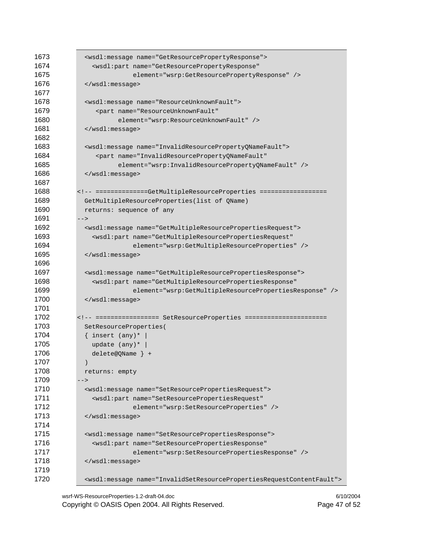| 1673 | <wsdl:message name="GetResourcePropertyResponse"></wsdl:message>                     |  |  |
|------|--------------------------------------------------------------------------------------|--|--|
| 1674 | <wsdl:part <="" name="GetResourcePropertyResponse" td=""></wsdl:part>                |  |  |
| 1675 | element="wsrp:GetResourcePropertyResponse" />                                        |  |  |
| 1676 |                                                                                      |  |  |
| 1677 |                                                                                      |  |  |
| 1678 | <wsdl:message name="ResourceUnknownFault"></wsdl:message>                            |  |  |
| 1679 | <part <="" name="ResourceUnknownFault" td=""></part>                                 |  |  |
| 1680 | element="wsrp:ResourceUnknownFault" />                                               |  |  |
| 1681 |                                                                                      |  |  |
| 1682 |                                                                                      |  |  |
| 1683 | <wsdl:message name="InvalidResourcePropertyQNameFault"></wsdl:message>               |  |  |
| 1684 | <part <="" name="InvalidResourcePropertyQNameFault" th=""></part>                    |  |  |
| 1685 |                                                                                      |  |  |
| 1686 | element="wsrp:InvalidResourcePropertyQNameFault" />                                  |  |  |
|      |                                                                                      |  |  |
| 1687 |                                                                                      |  |  |
| 1688 | <!-- ==============GetMultipleResourceProperties ==================</th>             |  |  |
| 1689 | GetMultipleResourceProperties(list of QName)                                         |  |  |
| 1690 | returns: sequence of any                                                             |  |  |
| 1691 | $--$                                                                                 |  |  |
| 1692 | <wsdl:message name="GetMultipleResourcePropertiesRequest"></wsdl:message>            |  |  |
| 1693 | <wsdl:part <="" name="GetMultipleResourcePropertiesRequest" td=""></wsdl:part>       |  |  |
| 1694 | element="wsrp:GetMultipleResourceProperties" />                                      |  |  |
| 1695 |                                                                                      |  |  |
| 1696 |                                                                                      |  |  |
| 1697 | <wsdl:message name="GetMultipleResourcePropertiesResponse"></wsdl:message>           |  |  |
| 1698 | <wsdl:part <="" name="GetMultipleResourcePropertiesResponse" td=""></wsdl:part>      |  |  |
| 1699 | element="wsrp:GetMultipleResourcePropertiesResponse" />                              |  |  |
| 1700 |                                                                                      |  |  |
| 1701 |                                                                                      |  |  |
| 1702 | <!-- ================= SetResourceProperties ======================</th>             |  |  |
| 1703 | SetResourceProperties(                                                               |  |  |
| 1704 | $\{$ insert $(\text{any})$ *                                                         |  |  |
| 1705 | update (any)*                                                                        |  |  |
| 1706 | $delete@QName$ +                                                                     |  |  |
| 1707 | $\mathcal{E}$                                                                        |  |  |
| 1708 | returns: empty                                                                       |  |  |
| 1709 | $--&>$                                                                               |  |  |
| 1710 | <wsdl:message name="SetResourcePropertiesRequest"></wsdl:message>                    |  |  |
| 1711 | <wsdl:part <="" name="SetResourcePropertiesRequest" td=""></wsdl:part>               |  |  |
| 1712 | element="wsrp:SetResourceProperties" />                                              |  |  |
| 1713 |                                                                                      |  |  |
| 1714 |                                                                                      |  |  |
|      |                                                                                      |  |  |
| 1715 | <wsdl:message name="SetResourcePropertiesResponse"></wsdl:message>                   |  |  |
| 1716 | <wsdl:part <="" name="SetResourcePropertiesResponse" th=""></wsdl:part>              |  |  |
| 1717 | element="wsrp:SetResourcePropertiesResponse" />                                      |  |  |
| 1718 |                                                                                      |  |  |
| 1719 |                                                                                      |  |  |
| 1720 | <wsdl:message name="InvalidSetResourcePropertiesRequestContentFault"></wsdl:message> |  |  |

wsrf-WS-ResourceProperties-1.2-draft-04.doc 6/10/2004 Copyright © OASIS Open 2004. All Rights Reserved. Page 47 of 52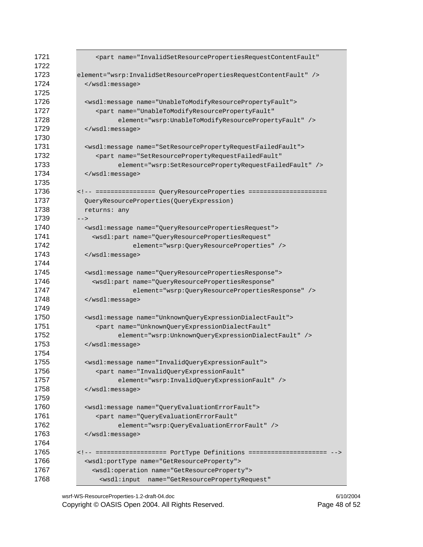| 1721<br>1722 | <part <="" name="InvalidSetResourcePropertiesRequestContentFault" th=""></part> |
|--------------|---------------------------------------------------------------------------------|
| 1723         | element="wsrp:InvalidSetResourcePropertiesRequestContentFault" />               |
| 1724         |                                                                                 |
| 1725         |                                                                                 |
| 1726         | <wsdl:message name="UnableToModifyResourcePropertyFault"></wsdl:message>        |
| 1727         | <part <="" name="UnableToModifyResourcePropertyFault" td=""></part>             |
| 1728         | element="wsrp:UnableToModifyResourcePropertyFault" />                           |
| 1729         |                                                                                 |
| 1730         |                                                                                 |
| 1731         | <wsdl:message name="SetResourcePropertyRequestFailedFault"></wsdl:message>      |
| 1732         | <part <="" name="SetResourcePropertyRequestFailedFault" td=""></part>           |
| 1733         | element="wsrp:SetResourcePropertyRequestFailedFault" />                         |
| 1734         |                                                                                 |
| 1735         |                                                                                 |
| 1736         |                                                                                 |
| 1737         | QueryResourceProperties(QueryExpression)                                        |
| 1738         | returns: any                                                                    |
| 1739         | $--$                                                                            |
| 1740         | <wsdl:message name="QueryResourcePropertiesRequest"></wsdl:message>             |
| 1741         | <wsdl:part <="" name="QueryResourcePropertiesRequest" td=""></wsdl:part>        |
| 1742         | element="wsrp:QueryResourceProperties" />                                       |
| 1743         |                                                                                 |
| 1744         |                                                                                 |
| 1745         | <wsdl:message name="QueryResourcePropertiesResponse"></wsdl:message>            |
| 1746         | <wsdl:part <="" name="QueryResourcePropertiesResponse" td=""></wsdl:part>       |
| 1747         | element="wsrp:QueryResourcePropertiesResponse" />                               |
| 1748         |                                                                                 |
| 1749         |                                                                                 |
| 1750         | <wsdl:message name="UnknownQueryExpressionDialectFault"></wsdl:message>         |
| 1751         | <part <="" name="UnknownQueryExpressionDialectFault" td=""></part>              |
| 1752         | element="wsrp:UnknownQueryExpressionDialectFault" />                            |
| 1753         |                                                                                 |
| 1754         |                                                                                 |
| 1755         | <wsdl:message name="InvalidQueryExpressionFault"></wsdl:message>                |
| 1756         | <part <="" name="InvalidQueryExpressionFault" td=""></part>                     |
| 1757         | element="wsrp:InvalidQueryExpressionFault" />                                   |
| 1758         |                                                                                 |
| 1759         |                                                                                 |
| 1760         | <wsdl:message name="QueryEvaluationErrorFault"></wsdl:message>                  |
| 1761         | <part <="" name="QueryEvaluationErrorFault" td=""></part>                       |
| 1762         | element="wsrp:QueryEvaluationErrorFault" />                                     |
| 1763         |                                                                                 |
| 1764         |                                                                                 |
| 1765         | ================== PortType Definitions =====================                   |
| 1766         | <wsdl:porttype name="GetResourceProperty"></wsdl:porttype>                      |
| 1767         | <wsdl:operation name="GetResourceProperty"></wsdl:operation>                    |
| 1768         | <wsdl:input <="" name="GetResourcePropertyRequest" td=""></wsdl:input>          |

wsrf-WS-ResourceProperties-1.2-draft-04.doc 6/10/2004 Copyright © OASIS Open 2004. All Rights Reserved. Page 48 of 52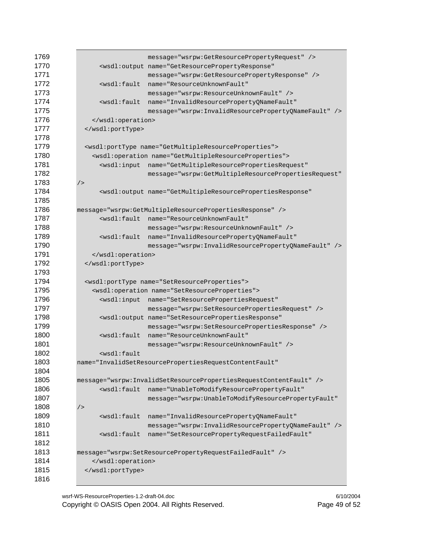| 1769         |                                                                                        | message="wsrpw:GetResourcePropertyRequest" />                                       |  |
|--------------|----------------------------------------------------------------------------------------|-------------------------------------------------------------------------------------|--|
| 1770         |                                                                                        | <wsdl:output <="" name="GetResourcePropertyResponse" th=""></wsdl:output>           |  |
| 1771         |                                                                                        | message="wsrpw:GetResourcePropertyResponse" />                                      |  |
| 1772         | <wsdl:fault< th=""><th>name="ResourceUnknownFault"</th></wsdl:fault<>                  | name="ResourceUnknownFault"                                                         |  |
| 1773         |                                                                                        | message="wsrpw:ResourceUnknownFault" />                                             |  |
| 1774         | <wsdl:fault< th=""><th>name="InvalidResourcePropertyQNameFault"</th></wsdl:fault<>     | name="InvalidResourcePropertyQNameFault"                                            |  |
| 1775         |                                                                                        | message="wsrpw:InvalidResourcePropertyQNameFault" />                                |  |
| 1776         |                                                                                        |                                                                                     |  |
| 1777         |                                                                                        |                                                                                     |  |
| 1778         |                                                                                        |                                                                                     |  |
| 1779         |                                                                                        | <wsdl:porttype name="GetMultipleResourceProperties"></wsdl:porttype>                |  |
| 1780         |                                                                                        | <wsdl:operation name="GetMultipleResourceProperties"></wsdl:operation>              |  |
| 1781         | <wsdl:input< th=""><th>name="GetMultipleResourcePropertiesRequest"</th></wsdl:input<>  | name="GetMultipleResourcePropertiesRequest"                                         |  |
| 1782         |                                                                                        | message="wsrpw:GetMultipleResourcePropertiesRequest"                                |  |
| 1783         | /                                                                                      |                                                                                     |  |
| 1784         |                                                                                        | <wsdl:output <="" name="GetMultipleResourcePropertiesResponse" th=""></wsdl:output> |  |
| 1785         |                                                                                        |                                                                                     |  |
| 1786         |                                                                                        | message="wsrpw:GetMultipleResourcePropertiesResponse" />                            |  |
| 1787         |                                                                                        | <wsdl:fault <="" name="ResourceUnknownFault" th=""></wsdl:fault>                    |  |
| 1788         |                                                                                        | message="wsrpw:ResourceUnknownFault" />                                             |  |
| 1789         | <wsdl:fault< th=""><th>name="InvalidResourcePropertyQNameFault"</th></wsdl:fault<>     | name="InvalidResourcePropertyQNameFault"                                            |  |
| 1790         |                                                                                        | message="wsrpw:InvalidResourcePropertyQNameFault" />                                |  |
| 1791         |                                                                                        |                                                                                     |  |
| 1792         |                                                                                        |                                                                                     |  |
| 1793         |                                                                                        |                                                                                     |  |
| 1794         |                                                                                        | <wsdl:porttype name="SetResourceProperties"></wsdl:porttype>                        |  |
| 1795         |                                                                                        | <wsdl:operation name="SetResourceProperties"></wsdl:operation>                      |  |
| 1796         |                                                                                        | <wsdl:input <="" name="SetResourcePropertiesRequest" th=""></wsdl:input>            |  |
| 1797         |                                                                                        | message="wsrpw:SetResourcePropertiesRequest" />                                     |  |
| 1798         |                                                                                        | <wsdl:output <="" name="SetResourcePropertiesResponse" th=""></wsdl:output>         |  |
| 1799         |                                                                                        | message="wsrpw:SetResourcePropertiesResponse" />                                    |  |
| 1800         | <wsdl:fault< th=""><th>name="ResourceUnknownFault"</th></wsdl:fault<>                  | name="ResourceUnknownFault"                                                         |  |
| 1801         |                                                                                        | message="wsrpw:ResourceUnknownFault" />                                             |  |
| 1802         | <wsdl:fault< th=""><th></th></wsdl:fault<>                                             |                                                                                     |  |
| 1803         |                                                                                        | name="InvalidSetResourcePropertiesRequestContentFault"                              |  |
| 1804         |                                                                                        |                                                                                     |  |
| 1805         |                                                                                        | message="wsrpw:InvalidSetResourcePropertiesRequestContentFault" />                  |  |
| 1806         |                                                                                        | <wsdl:fault <="" name="UnableToModifyResourcePropertyFault" th=""></wsdl:fault>     |  |
| 1807         |                                                                                        | message="wsrpw:UnableToModifyResourcePropertyFault"                                 |  |
| 1808         | /                                                                                      |                                                                                     |  |
| 1809         | <wsdl:fault< th=""><th>name="InvalidResourcePropertyQNameFault"</th></wsdl:fault<>     | name="InvalidResourcePropertyQNameFault"                                            |  |
| 1810         |                                                                                        | message="wsrpw:InvalidResourcePropertyQNameFault" />                                |  |
| 1811         | <wsdl:fault< th=""><th>name="SetResourcePropertyRequestFailedFault"</th></wsdl:fault<> | name="SetResourcePropertyRequestFailedFault"                                        |  |
| 1812         |                                                                                        |                                                                                     |  |
| 1813         | message="wsrpw:SetResourcePropertyRequestFailedFault" />                               |                                                                                     |  |
| 1814         |                                                                                        |                                                                                     |  |
|              |                                                                                        |                                                                                     |  |
| 1815<br>1816 |                                                                                        |                                                                                     |  |

wsrf-WS-ResourceProperties-1.2-draft-04.doc 6/10/2004 Copyright © OASIS Open 2004. All Rights Reserved. Page 49 of 52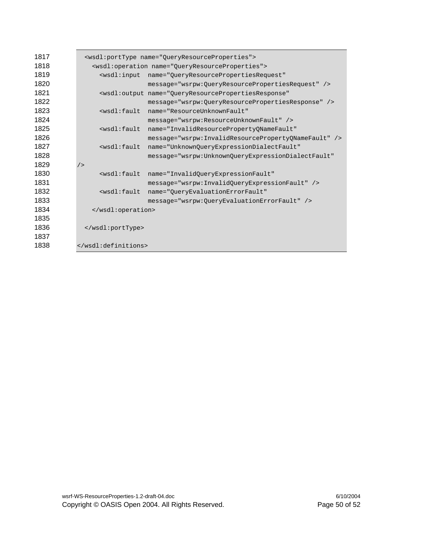| 1817 | <wsdl:porttype name="QueryResourceProperties"></wsdl:porttype>                     |                                                                               |  |
|------|------------------------------------------------------------------------------------|-------------------------------------------------------------------------------|--|
| 1818 | <wsdl:operation name="OueryResourceProperties"></wsdl:operation>                   |                                                                               |  |
| 1819 |                                                                                    | <wsdl:input <="" name="QueryResourcePropertiesRequest" th=""></wsdl:input>    |  |
| 1820 |                                                                                    | message="wsrpw:0ueryResourcePropertiesRequest" />                             |  |
| 1821 |                                                                                    | <wsdl:output <="" name="OueryResourcePropertiesResponse" th=""></wsdl:output> |  |
| 1822 |                                                                                    | message="wsrpw:QueryResourcePropertiesResponse" />                            |  |
| 1823 | <wsdl:fault< th=""><th>name="ResourceUnknownFault"</th></wsdl:fault<>              | name="ResourceUnknownFault"                                                   |  |
| 1824 |                                                                                    | message="wsrpw:ResourceUnknownFault" />                                       |  |
| 1825 | <wsdl:fault< th=""><th>name="InvalidResourcePropertyONameFault"</th></wsdl:fault<> | name="InvalidResourcePropertyONameFault"                                      |  |
| 1826 |                                                                                    | message="wsrpw:InvalidResourcePropertyONameFault" />                          |  |
| 1827 | $<$ w $sdl$ : fault                                                                | name="UnknownQueryExpressionDialectFault"                                     |  |
| 1828 |                                                                                    | message="wsrpw:UnknownOueryExpressionDialectFault"                            |  |
| 1829 | /                                                                                  |                                                                               |  |
| 1830 | <wsdl:fault< th=""><th>name="InvalidQueryExpressionFault"</th></wsdl:fault<>       | name="InvalidQueryExpressionFault"                                            |  |
| 1831 |                                                                                    | message="wsrpw:InvalidQueryExpressionFault" />                                |  |
| 1832 | <wsdl:fault< th=""><th>name="OueryEvaluationErrorFault"</th></wsdl:fault<>         | name="OueryEvaluationErrorFault"                                              |  |
| 1833 |                                                                                    | message="wsrpw: OueryEvaluationErrorFault" />                                 |  |
| 1834 |                                                                                    |                                                                               |  |
| 1835 |                                                                                    |                                                                               |  |
| 1836 |                                                                                    |                                                                               |  |
| 1837 |                                                                                    |                                                                               |  |
| 1838 |                                                                                    |                                                                               |  |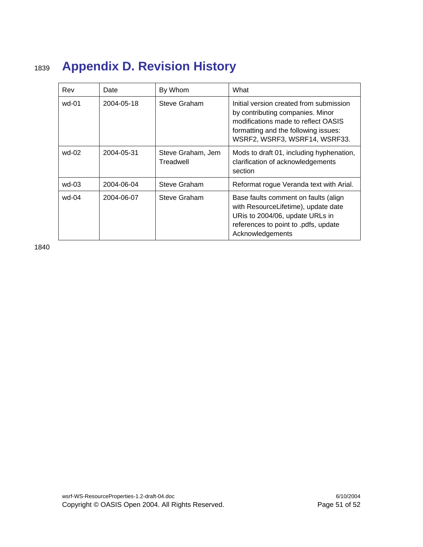# <sup>1839</sup>**Appendix D. Revision History**

| Rev     | Date       | By Whom                        | What                                                                                                                                                                                        |
|---------|------------|--------------------------------|---------------------------------------------------------------------------------------------------------------------------------------------------------------------------------------------|
| wd-01   | 2004-05-18 | Steve Graham                   | Initial version created from submission<br>by contributing companies. Minor<br>modifications made to reflect OASIS<br>formatting and the following issues:<br>WSRF2, WSRF3, WSRF14, WSRF33. |
| wd-02   | 2004-05-31 | Steve Graham, Jem<br>Treadwell | Mods to draft 01, including hyphenation,<br>clarification of acknowledgements<br>section                                                                                                    |
| $wd-03$ | 2004-06-04 | Steve Graham                   | Reformat rogue Veranda text with Arial.                                                                                                                                                     |
| wd-04   | 2004-06-07 | Steve Graham                   | Base faults comment on faults (align<br>with ResourceLifetime), update date<br>URis to 2004/06, update URLs in<br>references to point to .pdfs, update<br>Acknowledgements                  |

1840